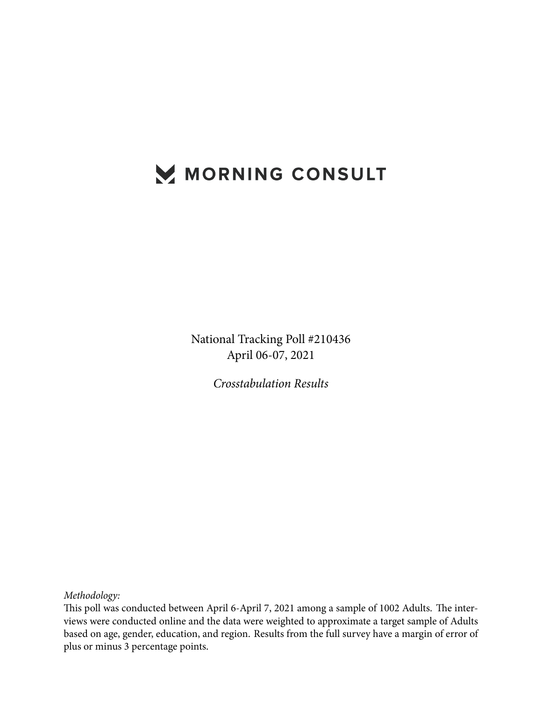## MORNING CONSULT

National Tracking Poll #210436 April 06-07, 2021

*Crosstabulation Results*

*Methodology:*

This poll was conducted between April 6-April 7, 2021 among a sample of 1002 Adults. The interviews were conducted online and the data were weighted to approximate a target sample of Adults based on age, gender, education, and region. Results from the full survey have a margin of error of plus or minus 3 percentage points.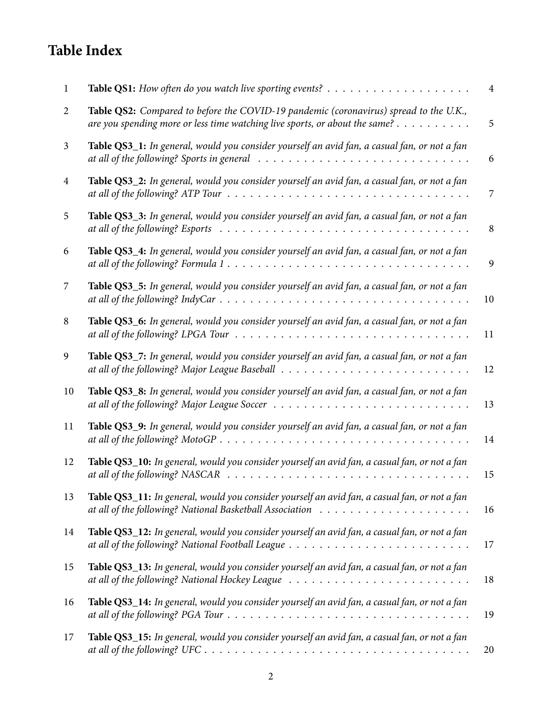## **Table Index**

| 1              |                                                                                                                                                                                                                          | $\overline{4}$ |
|----------------|--------------------------------------------------------------------------------------------------------------------------------------------------------------------------------------------------------------------------|----------------|
| 2              | Table QS2: Compared to before the COVID-19 pandemic (coronavirus) spread to the U.K.,<br>are you spending more or less time watching live sports, or about the same? $\dots \dots \dots$                                 | 5              |
| 3              | Table QS3_1: In general, would you consider yourself an avid fan, a casual fan, or not a fan<br>at all of the following? Sports in general                                                                               | 6              |
| $\overline{4}$ | Table QS3_2: In general, would you consider yourself an avid fan, a casual fan, or not a fan<br>at all of the following? ATP Tour $\ldots \ldots \ldots \ldots \ldots \ldots \ldots \ldots \ldots \ldots$                | 7              |
| 5              | Table QS3_3: In general, would you consider yourself an avid fan, a casual fan, or not a fan<br>at all of the following? Esports $\ldots \ldots \ldots \ldots \ldots \ldots \ldots \ldots \ldots \ldots \ldots \ldots$   | 8              |
| 6              | Table QS3_4: In general, would you consider yourself an avid fan, a casual fan, or not a fan                                                                                                                             | 9              |
| 7              | Table QS3_5: In general, would you consider yourself an avid fan, a casual fan, or not a fan                                                                                                                             | 10             |
| 8              | Table QS3_6: In general, would you consider yourself an avid fan, a casual fan, or not a fan                                                                                                                             | 11             |
| 9              | Table QS3_7: In general, would you consider yourself an avid fan, a casual fan, or not a fan                                                                                                                             | 12             |
| 10             | Table QS3_8: In general, would you consider yourself an avid fan, a casual fan, or not a fan                                                                                                                             | 13             |
| 11             | Table QS3_9: In general, would you consider yourself an avid fan, a casual fan, or not a fan                                                                                                                             | 14             |
| 12             | Table QS3_10: In general, would you consider yourself an avid fan, a casual fan, or not a fan                                                                                                                            | 15             |
| 13             | Table QS3_11: In general, would you consider yourself an avid fan, a casual fan, or not a fan                                                                                                                            | 16             |
| 14             | Table QS3_12: In general, would you consider yourself an avid fan, a casual fan, or not a fan                                                                                                                            | 17             |
| 15             | Table QS3_13: In general, would you consider yourself an avid fan, a casual fan, or not a fan                                                                                                                            | 18             |
| 16             | Table QS3_14: In general, would you consider yourself an avid fan, a casual fan, or not a fan<br>at all of the following? PGA Tour $\ldots \ldots \ldots \ldots \ldots \ldots \ldots \ldots \ldots \ldots \ldots \ldots$ | 19             |
| 17             | Table QS3_15: In general, would you consider yourself an avid fan, a casual fan, or not a fan                                                                                                                            | 20             |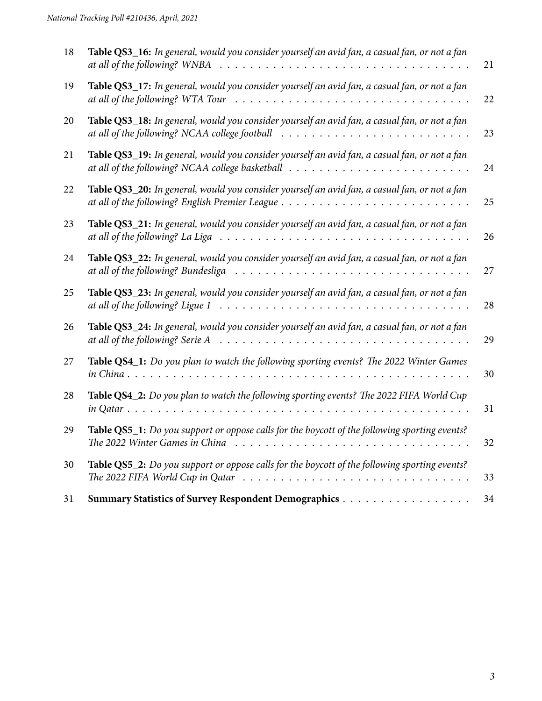| 18 | Table QS3_16: In general, would you consider yourself an avid fan, a casual fan, or not a fan<br>at all of the following? WNBA                                                      | 21 |
|----|-------------------------------------------------------------------------------------------------------------------------------------------------------------------------------------|----|
| 19 | Table QS3_17: In general, would you consider yourself an avid fan, a casual fan, or not a fan<br>at all of the following? WTA Tour                                                  | 22 |
| 20 | Table QS3_18: In general, would you consider yourself an avid fan, a casual fan, or not a fan<br>at all of the following? NCAA college football                                     | 23 |
| 21 | Table QS3_19: In general, would you consider yourself an avid fan, a casual fan, or not a fan                                                                                       | 24 |
| 22 | Table QS3_20: In general, would you consider yourself an avid fan, a casual fan, or not a fan                                                                                       | 25 |
| 23 | Table QS3_21: In general, would you consider yourself an avid fan, a casual fan, or not a fan<br>at all of the following? La Liga                                                   | 26 |
| 24 | Table QS3_22: In general, would you consider yourself an avid fan, a casual fan, or not a fan<br>at all of the following? Bundesliga                                                | 27 |
| 25 | Table QS3_23: In general, would you consider yourself an avid fan, a casual fan, or not a fan<br>at all of the following? Ligue 1                                                   | 28 |
| 26 | Table QS3_24: In general, would you consider yourself an avid fan, a casual fan, or not a fan<br>at all of the following? Serie A                                                   | 29 |
| 27 | Table QS4_1: Do you plan to watch the following sporting events? The 2022 Winter Games<br>in China.<br>$\cdot$ $\cdot$ $\cdot$ $\cdot$ $\cdot$ $\cdot$                              | 30 |
| 28 | Table QS4_2: Do you plan to watch the following sporting events? The 2022 FIFA World Cup<br>in Qatar $\ldots \ldots \ldots \ldots \ldots \ldots \ldots \ldots \ldots \ldots \ldots$ | 31 |
| 29 | Table QS5_1: Do you support or oppose calls for the boycott of the following sporting events?                                                                                       | 32 |
| 30 | Table QS5_2: Do you support or oppose calls for the boycott of the following sporting events?                                                                                       | 33 |
| 31 |                                                                                                                                                                                     | 34 |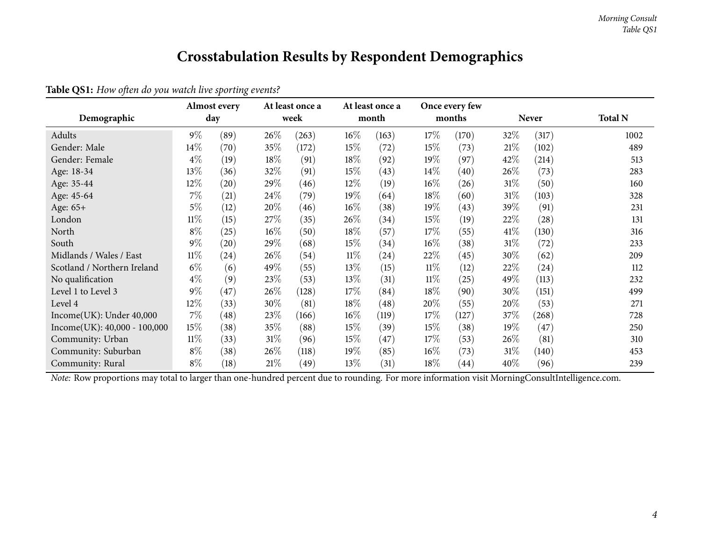## **Crosstabulation Results by Respondent Demographics**

<span id="page-3-0"></span>

| Demographic                    |        | <b>Almost every</b><br>day |        | At least once a<br>week |        | At least once a<br>month |        | Once every few<br>months |        | <b>Never</b> | <b>Total N</b> |
|--------------------------------|--------|----------------------------|--------|-------------------------|--------|--------------------------|--------|--------------------------|--------|--------------|----------------|
| Adults                         | $9\%$  | (89)                       | 26\%   | (263)                   | $16\%$ | (163)                    | 17%    | (170)                    | $32\%$ | (317)        | 1002           |
| Gender: Male                   | 14\%   | (70)                       | 35%    | (172)                   | $15\%$ | (72)                     | 15\%   | (73)                     | 21%    | (102)        | 489            |
| Gender: Female                 | $4\%$  | (19)                       | 18%    | (91)                    | 18%    | (92)                     | 19%    | (97)                     | 42%    | (214)        | 513            |
| Age: 18-34                     | 13%    | (36)                       | 32%    | (91)                    | $15\%$ | (43)                     | $14\%$ | (40)                     | 26\%   | (73)         | 283            |
| Age: 35-44                     | 12%    | $\left( 20\right)$         | 29%    | (46)                    | 12%    | (19)                     | 16%    | (26)                     | $31\%$ | (50)         | 160            |
| Age: 45-64                     | $7\%$  | (21)                       | 24\%   | (79)                    | 19%    | (64)                     | 18%    | (60)                     | $31\%$ | (103)        | 328            |
| Age: 65+                       | $5\%$  | (12)                       | 20%    | (46)                    | $16\%$ | (38)                     | 19%    | (43)                     | 39\%   | (91)         | 231            |
| London                         | $11\%$ | (15)                       | 27%    | (35)                    | 26%    | (34)                     | 15%    | (19)                     | 22\%   | (28)         | 131            |
| North                          | $8\%$  | (25)                       | $16\%$ | (50)                    | 18%    | (57)                     | 17\%   | (55)                     | $41\%$ | (130)        | 316            |
| South                          | $9\%$  | (20)                       | 29%    | (68)                    | 15%    | (34)                     | 16%    | (38)                     | $31\%$ | (72)         | 233            |
| Midlands / Wales / East        | $11\%$ | (24)                       | $26\%$ | (54)                    | $11\%$ | (24)                     | 22\%   | (45)                     | 30\%   | (62)         | 209            |
| Scotland / Northern Ireland    | $6\%$  | (6)                        | 49%    | (55)                    | 13%    | (15)                     | $11\%$ | (12)                     | 22\%   | (24)         | 112            |
| No qualification               | $4\%$  | (9)                        | 23\%   | (53)                    | 13\%   | (31)                     | $11\%$ | (25)                     | 49\%   | (113)        | 232            |
| Level 1 to Level 3             | $9\%$  | (47)                       | 26%    | (128)                   | 17%    | (84)                     | 18%    | (90)                     | 30\%   | (151)        | 499            |
| Level 4                        | 12%    | (33)                       | 30%    | (81)                    | 18%    | (48)                     | 20%    | (55)                     | 20%    | (53)         | 271            |
| Income(UK): Under 40,000       | $7\%$  | (48)                       | 23%    | (166)                   | $16\%$ | (119)                    | 17\%   | (127)                    | 37\%   | (268)        | 728            |
| $Income(UK): 40,000 - 100,000$ | 15%    | (38)                       | 35%    | (88)                    | $15\%$ | (39)                     | 15\%   | (38)                     | $19\%$ | (47)         | 250            |
| Community: Urban               | $11\%$ | (33)                       | $31\%$ | (96)                    | 15%    | (47)                     | 17\%   | (53)                     | 26\%   | (81)         | 310            |
| Community: Suburban            | $8\%$  | (38)                       | 26\%   | (118)                   | 19%    | (85)                     | $16\%$ | (73)                     | $31\%$ | (140)        | 453            |
| Community: Rural               | $8\%$  | (18)                       | 21%    | (49)                    | $13\%$ | (31)                     | $18\%$ | (44)                     | 40\%   | (96)         | 239            |

**Table QS1:** *How often do you watch live sporting events?*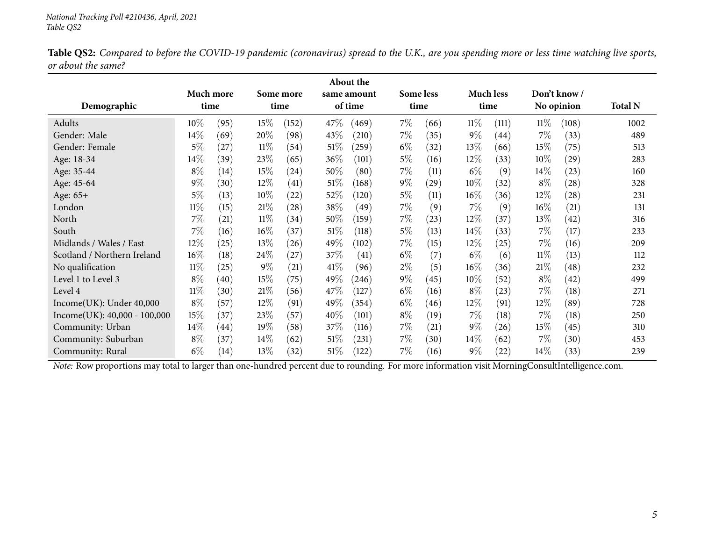Table QS2: Compared to before the COVID-19 pandemic (coronavirus) spread to the U.K., are you spending more or less time watching live sports, *or about the same?*

<span id="page-4-0"></span>

|                              |        |                    |        |                    |         | About the          |           |      |        |                  |            |                    |                |
|------------------------------|--------|--------------------|--------|--------------------|---------|--------------------|-----------|------|--------|------------------|------------|--------------------|----------------|
|                              |        | Much more          |        | Some more          |         | same amount        | Some less |      |        | <b>Much less</b> |            | Don't know /       |                |
| Demographic                  |        | time               |        | time               | of time |                    | time      |      | time   |                  | No opinion |                    | <b>Total N</b> |
| Adults                       | 10\%   | (95)               | 15\%   | (152)              | 47\%    | (469)              | 7%        | (66) | $11\%$ | (111)            | $11\%$     | (108)              | 1002           |
| Gender: Male                 | 14\%   | (69)               | 20%    | (98)               | 43%     | (210)              | 7%        | (35) | $9\%$  | (44)             | $7\%$      | (33)               | 489            |
| Gender: Female               | $5\%$  | (27)               | $11\%$ | (54)               | 51%     | (259)              | $6\%$     | (32) | $13\%$ | (66)             | 15%        | (75)               | 513            |
| Age: 18-34                   | $14\%$ | (39)               | 23\%   | (65)               | $36\%$  | (101)              | 5%        | (16) | $12\%$ | (33)             | 10%        | (29)               | 283            |
| Age: 35-44                   | $8\%$  | (14)               | 15\%   | (24)               | 50%     | (80)               | 7%        | (11) | $6\%$  | (9)              | 14%        | (23)               | 160            |
| Age: 45-64                   | $9\%$  | (30)               | 12%    | (41)               | 51\%    | (168)              | $9\%$     | (29) | 10%    | (32)             | $8\%$      | (28)               | 328            |
| Age: 65+                     | $5\%$  | (13)               | $10\%$ | $\left( 22\right)$ | 52\%    | (120)              | $5\%$     | (11) | $16\%$ | (36)             | $12\%$     | $\left( 28\right)$ | 231            |
| London                       | $11\%$ | (15)               | 21%    | (28)               | 38\%    | (49)               | 7%        | (9)  | $7\%$  | (9)              | $16\%$     | (21)               | 131            |
| North                        | $7\%$  | (21)               | $11\%$ | (34)               | 50%     | (159)              | 7%        | (23) | 12%    | (37)             | 13\%       | (42)               | 316            |
| South                        | $7\%$  | (16)               | $16\%$ | (37)               | $51\%$  | (118)              | 5%        | (13) | $14\%$ | (33)             | $7\%$      | (17)               | 233            |
| Midlands / Wales / East      | 12%    | (25)               | 13\%   | (26)               | 49\%    | (102)              | 7%        | (15) | $12\%$ | (25)             | $7\%$      | (16)               | 209            |
| Scotland / Northern Ireland  | $16\%$ | (18)               | 24\%   | (27)               | 37\%    | $\left( 41\right)$ | $6\%$     | (7)  | $6\%$  | (6)              | $11\%$     | (13)               | 112            |
| No qualification             | $11\%$ | (25)               | $9\%$  | (21)               | 41%     | (96)               | $2\%$     | (5)  | $16\%$ | (36)             | 21%        | (48)               | 232            |
| Level 1 to Level 3           | $8\%$  | (40)               | 15\%   | (75)               | 49\%    | (246)              | $9\%$     | (45) | $10\%$ | (52)             | $8\%$      | (42)               | 499            |
| Level 4                      | $11\%$ | (30)               | 21%    | (56)               | 47\%    | (127)              | $6\%$     | (16) | $8\%$  | (23)             | $7\%$      | (18)               | 271            |
| Income(UK): Under 40,000     | $8\%$  | (57)               | 12%    | (91)               | 49\%    | (354)              | $6\%$     | (46) | $12\%$ | (91)             | $12\%$     | (89)               | 728            |
| Income(UK): 40,000 - 100,000 | 15%    | (37)               | 23\%   | (57)               | 40%     | (101)              | $8\%$     | (19) | $7\%$  | (18)             | $7\%$      | (18)               | 250            |
| Community: Urban             | $14\%$ | $\left( 44\right)$ | 19%    | (58)               | 37\%    | (116)              | 7%        | (21) | $9\%$  | (26)             | 15%        | (45)               | 310            |
| Community: Suburban          | $8\%$  | (37)               | 14\%   | (62)               | 51%     | (231)              | $7\%$     | (30) | $14\%$ | (62)             | $7\%$      | (30)               | 453            |
| Community: Rural             | $6\%$  | (14)               | 13%    | (32)               | 51%     | (122)              | 7%        | (16) | $9\%$  | (22)             | 14%        | (33)               | 239            |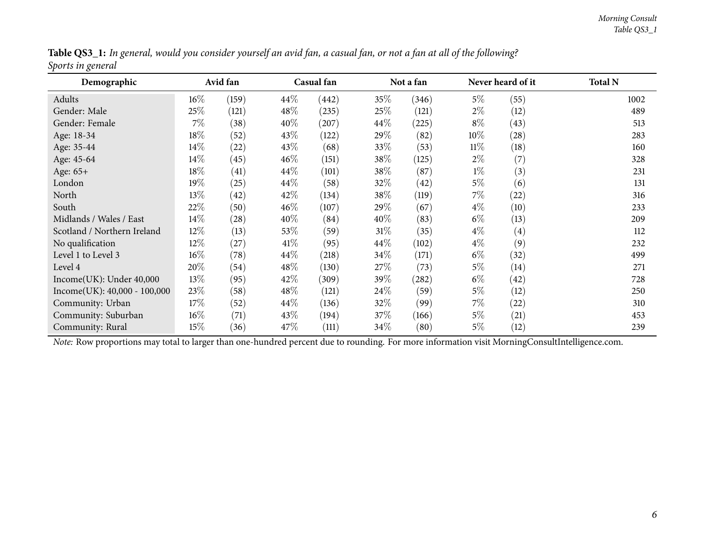|                   | Table QS3_1: In general, would you consider yourself an avid fan, a casual fan, or not a fan at all of the following? |
|-------------------|-----------------------------------------------------------------------------------------------------------------------|
| Sports in general |                                                                                                                       |

<span id="page-5-0"></span>

| Demographic                    |        | Avid fan |        | Casual fan |        | Not a fan |        | Never heard of it | <b>Total N</b> |
|--------------------------------|--------|----------|--------|------------|--------|-----------|--------|-------------------|----------------|
| Adults                         | $16\%$ | (159)    | 44\%   | (442)      | 35\%   | (346)     | $5\%$  | (55)              | 1002           |
| Gender: Male                   | 25%    | (121)    | $48\%$ | (235)      | 25\%   | (121)     | $2\%$  | (12)              | 489            |
| Gender: Female                 | $7\%$  | (38)     | 40%    | (207)      | $44\%$ | (225)     | $8\%$  | (43)              | 513            |
| Age: 18-34                     | 18%    | (52)     | 43\%   | (122)      | $29\%$ | (82)      | $10\%$ | (28)              | 283            |
| Age: 35-44                     | 14\%   | (22)     | 43\%   | (68)       | 33\%   | (53)      | $11\%$ | (18)              | 160            |
| Age: 45-64                     | 14\%   | (45)     | $46\%$ | (151)      | 38\%   | (125)     | $2\%$  | (7)               | 328            |
| Age: 65+                       | 18\%   | (41)     | $44\%$ | (101)      | 38\%   | (87)      | $1\%$  | (3)               | 231            |
| London                         | 19%    | (25)     | 44\%   | (58)       | 32\%   | (42)      | $5\%$  | (6)               | 131            |
| North                          | 13%    | (42)     | 42\%   | (134)      | 38\%   | (119)     | 7%     | (22)              | 316            |
| South                          | 22%    | (50)     | $46\%$ | (107)      | 29%    | (67)      | $4\%$  | (10)              | 233            |
| Midlands / Wales / East        | 14%    | (28)     | 40%    | (84)       | $40\%$ | (83)      | $6\%$  | (13)              | 209            |
| Scotland / Northern Ireland    | $12\%$ | (13)     | 53\%   | (59)       | $31\%$ | (35)      | $4\%$  | $\left( 4\right)$ | 112            |
| No qualification               | $12\%$ | (27)     | 41%    | (95)       | $44\%$ | (102)     | $4\%$  | (9)               | 232            |
| Level 1 to Level 3             | 16%    | (78)     | 44\%   | (218)      | 34\%   | (171)     | $6\%$  | (32)              | 499            |
| Level 4                        | 20%    | (54)     | 48\%   | (130)      | 27\%   | (73)      | $5\%$  | (14)              | 271            |
| Income(UK): Under 40,000       | 13\%   | (95)     | 42\%   | (309)      | 39\%   | (282)     | $6\%$  | (42)              | 728            |
| $Income(UK): 40,000 - 100,000$ | 23%    | (58)     | 48\%   | (121)      | 24\%   | (59)      | $5\%$  | (12)              | 250            |
| Community: Urban               | 17%    | (52)     | $44\%$ | (136)      | 32\%   | (99)      | $7\%$  | (22)              | 310            |
| Community: Suburban            | $16\%$ | (71)     | 43\%   | (194)      | 37\%   | (166)     | $5\%$  | (21)              | 453            |
| Community: Rural               | 15%    | (36)     | 47\%   | (111)      | $34\%$ | (80)      | $5\%$  | (12)              | 239            |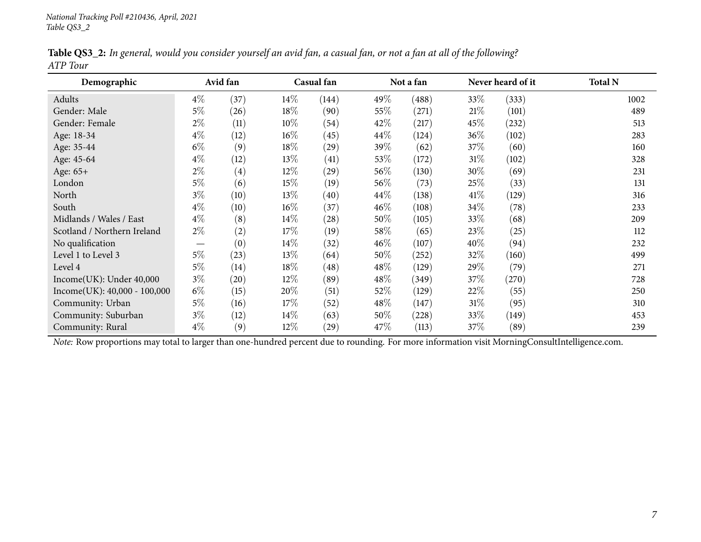|          |  | Table QS3_2: In general, would you consider yourself an avid fan, a casual fan, or not a fan at all of the following? |  |
|----------|--|-----------------------------------------------------------------------------------------------------------------------|--|
| ATP Tour |  |                                                                                                                       |  |

<span id="page-6-0"></span>

| Demographic                                                                                                                                    |                   | Avid fan           |        | Casual fan         |        | Not a fan |        | Never heard of it | <b>Total N</b> |
|------------------------------------------------------------------------------------------------------------------------------------------------|-------------------|--------------------|--------|--------------------|--------|-----------|--------|-------------------|----------------|
| Adults                                                                                                                                         | $4\%$             | (37)               | $14\%$ | (144)              | 49%    | (488)     | 33\%   | (333)             | 1002           |
| Gender: Male                                                                                                                                   | $5\%$             | (26)               | $18\%$ | (90)               | 55\%   | (271)     | 21%    | (101)             | 489            |
| Gender: Female                                                                                                                                 | $2\%$             | (11)               | $10\%$ | (54)               | 42\%   | (217)     | $45\%$ | (232)             | 513            |
| Age: 18-34                                                                                                                                     | $4\%$             | (12)               | $16\%$ | (45)               | $44\%$ | (124)     | $36\%$ | (102)             | 283            |
| Age: 35-44                                                                                                                                     | $6\%$             | (9)                | $18\%$ | (29)               | 39\%   | (62)      | 37\%   | (60)              | 160            |
| Age: 45-64                                                                                                                                     | $4\%$             | (12)               | $13\%$ | (41)               | 53\%   | (172)     | $31\%$ | (102)             | 328            |
| Age: 65+                                                                                                                                       | $2\%$             | $\left( 4\right)$  | $12\%$ | (29)               | 56\%   | (130)     | $30\%$ | (69)              | 231            |
| London                                                                                                                                         | $5\%$             | (6)                | $15\%$ | (19)               | 56\%   | (73)      | 25%    | (33)              | 131            |
| North                                                                                                                                          | $3\%$             | (10)               | 13\%   | (40)               | $44\%$ | (138)     | 41\%   | (129)             | 316            |
| South                                                                                                                                          | $4\%$             | (10)               | $16\%$ | (37)               | $46\%$ | (108)     | $34\%$ | (78)              | 233            |
| Midlands / Wales / East                                                                                                                        | $4\%$             | (8)                | $14\%$ | $\left( 28\right)$ | 50%    | (105)     | 33\%   | (68)              | 209            |
| Scotland / Northern Ireland                                                                                                                    | $2\%$             | (2)                | 17%    | (19)               | 58\%   | (65)      | 23\%   | (25)              | 112            |
| No qualification                                                                                                                               | $\hspace{0.05cm}$ | (0)                | $14\%$ | (32)               | $46\%$ | (107)     | 40%    | (94)              | 232            |
| Level 1 to Level 3                                                                                                                             | $5\%$             | (23)               | 13\%   | (64)               | 50%    | (252)     | 32\%   | (160)             | 499            |
| Level 4                                                                                                                                        | $5\%$             | (14)               | 18\%   | $\left( 48\right)$ | 48\%   | (129)     | 29\%   | (79)              | 271            |
| Income(UK): Under 40,000                                                                                                                       | $3\%$             | $\left( 20\right)$ | $12\%$ | (89)               | 48\%   | (349)     | 37\%   | (270)             | 728            |
| $Income(UK): 40,000 - 100,000$                                                                                                                 | $6\%$             | (15)               | 20%    | (51)               | 52\%   | (129)     | 22\%   | (55)              | 250            |
| Community: Urban                                                                                                                               | $5\%$             | (16)               | $17\%$ | (52)               | 48\%   | (147)     | $31\%$ | (95)              | 310            |
| Community: Suburban                                                                                                                            | $3\%$             | (12)               | $14\%$ | (63)               | 50%    | (228)     | 33\%   | (149)             | 453            |
| Community: Rural                                                                                                                               | $4\%$             | (9)                | $12\%$ | (29)               | 47\%   | (113)     | 37\%   | (89)              | 239            |
| Note: Row proportions may total to larger than one-hundred percent due to rounding. For more information visit MorningConsultIntelligence.com. |                   |                    |        |                    |        |           |        |                   |                |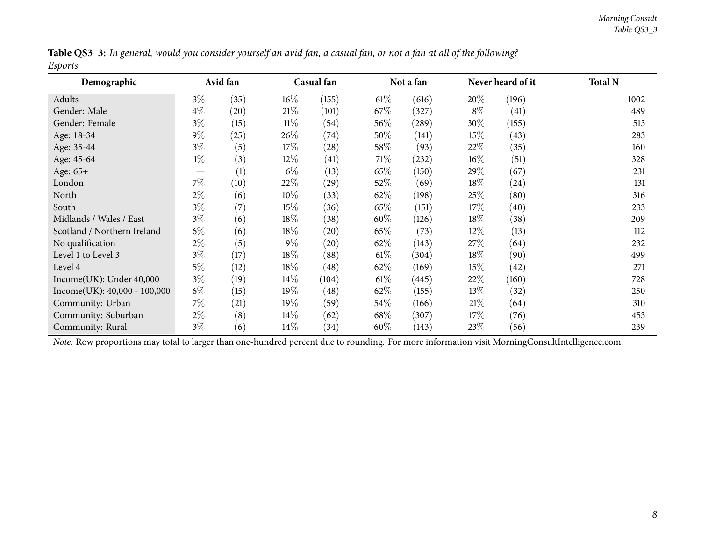|         |  |  | Table QS3_3: In general, would you consider yourself an avid fan, a casual fan, or not a fan at all of the following? |  |
|---------|--|--|-----------------------------------------------------------------------------------------------------------------------|--|
| Esports |  |  |                                                                                                                       |  |

<span id="page-7-0"></span>

| Demographic                    | Avid fan |                    |        | Casual fan |        | Not a fan |        | Never heard of it | <b>Total N</b> |
|--------------------------------|----------|--------------------|--------|------------|--------|-----------|--------|-------------------|----------------|
| Adults                         | $3\%$    | (35)               | 16%    | (155)      | $61\%$ | (616)     | 20\%   | (196)             | 1002           |
| Gender: Male                   | $4\%$    | $\left( 20\right)$ | 21%    | (101)      | $67\%$ | (327)     | $8\%$  | (41)              | 489            |
| Gender: Female                 | $3\%$    | (15)               | $11\%$ | (54)       | $56\%$ | (289)     | $30\%$ | (155)             | 513            |
| Age: 18-34                     | $9\%$    | (25)               | 26\%   | (74)       | 50%    | (141)     | 15%    | (43)              | 283            |
| Age: 35-44                     | $3\%$    | (5)                | 17\%   | (28)       | 58\%   | (93)      | 22%    | (35)              | 160            |
| Age: 45-64                     | $1\%$    | (3)                | 12\%   | (41)       | 71\%   | (232)     | $16\%$ | (51)              | 328            |
| Age: 65+                       |          | (1)                | $6\%$  | (13)       | 65\%   | (150)     | 29\%   | (67)              | 231            |
| London                         | $7\%$    | (10)               | 22%    | (29)       | 52\%   | (69)      | 18%    | (24)              | 131            |
| North                          | $2\%$    | (6)                | 10\%   | (33)       | 62\%   | (198)     | 25\%   | (80)              | 316            |
| South                          | $3\%$    | (7)                | $15\%$ | (36)       | 65\%   | (151)     | 17%    | (40)              | 233            |
| Midlands / Wales / East        | $3\%$    | (6)                | $18\%$ | (38)       | 60%    | (126)     | 18%    | (38)              | 209            |
| Scotland / Northern Ireland    | $6\%$    | (6)                | $18\%$ | (20)       | 65\%   | (73)      | $12\%$ | (13)              | 112            |
| No qualification               | $2\%$    | (5)                | $9\%$  | (20)       | 62%    | (143)     | 27\%   | (64)              | 232            |
| Level 1 to Level 3             | $3\%$    | (17)               | 18%    | (88)       | $61\%$ | (304)     | 18%    | (90)              | 499            |
| Level 4                        | $5\%$    | (12)               | $18\%$ | (48)       | 62\%   | (169)     | 15%    | (42)              | 271            |
| Income(UK): Under 40,000       | $3\%$    | (19)               | $14\%$ | (104)      | $61\%$ | (445)     | 22%    | (160)             | 728            |
| $Income(UK): 40,000 - 100,000$ | $6\%$    | (15)               | $19\%$ | (48)       | 62\%   | (155)     | $13\%$ | (32)              | 250            |
| Community: Urban               | $7\%$    | (21)               | 19%    | (59)       | $54\%$ | (166)     | 21%    | (64)              | 310            |
| Community: Suburban            | $2\%$    | (8)                | 14%    | (62)       | 68\%   | (307)     | 17\%   | (76)              | 453            |
| Community: Rural               | $3\%$    | (6)                | 14%    | (34)       | 60%    | (143)     | 23\%   | (56)              | 239            |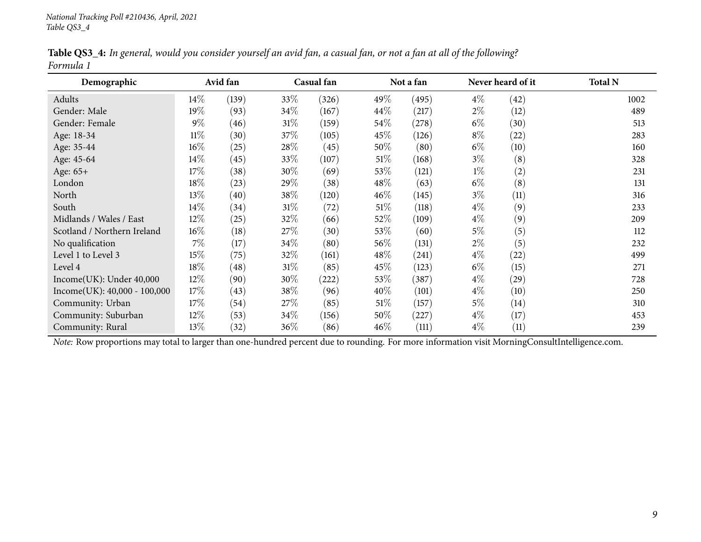|           |  | Table QS3_4: In general, would you consider yourself an avid fan, a casual fan, or not a fan at all of the following? |
|-----------|--|-----------------------------------------------------------------------------------------------------------------------|
| Formula 1 |  |                                                                                                                       |

<span id="page-8-0"></span>

| Demographic                    |        | Avid fan |      | Casual fan |        | Not a fan |       | Never heard of it  | <b>Total N</b> |
|--------------------------------|--------|----------|------|------------|--------|-----------|-------|--------------------|----------------|
| Adults                         | $14\%$ | (139)    | 33\% | (326)      | 49%    | (495)     | $4\%$ | (42)               | 1002           |
| Gender: Male                   | 19%    | (93)     | 34\% | (167)      | $44\%$ | (217)     | $2\%$ | (12)               | 489            |
| Gender: Female                 | $9\%$  | (46)     | 31\% | (159)      | 54\%   | (278)     | $6\%$ | (30)               | 513            |
| Age: 18-34                     | $11\%$ | (30)     | 37\% | (105)      | 45\%   | (126)     | $8\%$ | $\left( 22\right)$ | 283            |
| Age: 35-44                     | 16%    | (25)     | 28\% | (45)       | 50%    | (80)      | $6\%$ | (10)               | 160            |
| Age: 45-64                     | $14\%$ | (45)     | 33\% | (107)      | $51\%$ | (168)     | $3\%$ | (8)                | 328            |
| Age: 65+                       | 17%    | (38)     | 30\% | (69)       | 53\%   | (121)     | $1\%$ | (2)                | 231            |
| London                         | 18%    | (23)     | 29%  | (38)       | 48\%   | (63)      | $6\%$ | (8)                | 131            |
| North                          | 13\%   | (40)     | 38%  | (120)      | $46\%$ | (145)     | $3\%$ | (11)               | 316            |
| South                          | 14%    | (34)     | 31\% | (72)       | $51\%$ | (118)     | $4\%$ | (9)                | 233            |
| Midlands / Wales / East        | 12%    | (25)     | 32%  | (66)       | 52\%   | (109)     | $4\%$ | (9)                | 209            |
| Scotland / Northern Ireland    | 16%    | (18)     | 27\% | (30)       | 53\%   | (60)      | $5\%$ | (5)                | 112            |
| No qualification               | $7\%$  | (17)     | 34\% | (80)       | 56\%   | (131)     | $2\%$ | (5)                | 232            |
| Level 1 to Level 3             | 15%    | (75)     | 32%  | (161)      | 48\%   | (241)     | $4\%$ | (22)               | 499            |
| Level 4                        | $18\%$ | (48)     | 31\% | (85)       | 45\%   | (123)     | $6\%$ | (15)               | 271            |
| Income(UK): Under~40,000       | 12%    | (90)     | 30%  | (222)      | 53\%   | (387)     | $4\%$ | (29)               | 728            |
| $Income(UK): 40,000 - 100,000$ | 17%    | (43)     | 38\% | (96)       | 40%    | (101)     | $4\%$ | (10)               | 250            |
| Community: Urban               | 17%    | (54)     | 27\% | (85)       | $51\%$ | (157)     | $5\%$ | (14)               | 310            |
| Community: Suburban            | $12\%$ | (53)     | 34\% | (156)      | 50%    | (227)     | $4\%$ | (17)               | 453            |
| Community: Rural               | 13\%   | (32)     | 36\% | (86)       | $46\%$ | (111)     | $4\%$ | (11)               | 239            |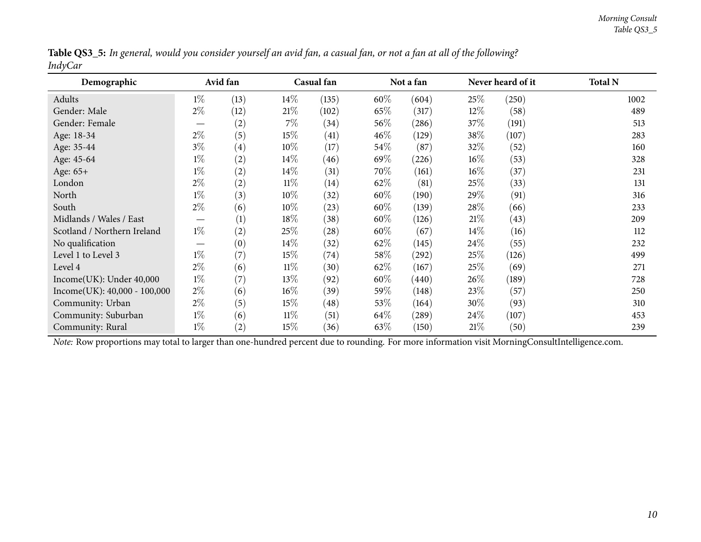|                |  |  |  | Table QS3_5: In general, would you consider yourself an avid fan, a casual fan, or not a fan at all of the following? |
|----------------|--|--|--|-----------------------------------------------------------------------------------------------------------------------|
| <b>IndyCar</b> |  |  |  |                                                                                                                       |

<span id="page-9-0"></span>

| Demographic                                                                                                                                    | Avid fan |                   |        | Casual fan |        | Not a fan |        | Never heard of it | <b>Total N</b> |
|------------------------------------------------------------------------------------------------------------------------------------------------|----------|-------------------|--------|------------|--------|-----------|--------|-------------------|----------------|
| Adults                                                                                                                                         | $1\%$    | (13)              | $14\%$ | (135)      | 60%    | (604)     | 25\%   | (250)             | 1002           |
| Gender: Male                                                                                                                                   | $2\%$    | (12)              | 21%    | (102)      | 65\%   | (317)     | $12\%$ | (58)              | 489            |
| Gender: Female                                                                                                                                 |          | (2)               | $7\%$  | (34)       | $56\%$ | (286)     | 37\%   | (191)             | 513            |
| Age: 18-34                                                                                                                                     | $2\%$    | (5)               | $15\%$ | (41)       | $46\%$ | (129)     | 38%    | (107)             | 283            |
| Age: 35-44                                                                                                                                     | $3\%$    | $\left( 4\right)$ | $10\%$ | (17)       | $54\%$ | (87)      | 32%    | (52)              | 160            |
| Age: 45-64                                                                                                                                     | $1\%$    | (2)               | $14\%$ | (46)       | 69\%   | (226)     | $16\%$ | (53)              | 328            |
| Age: 65+                                                                                                                                       | $1\%$    | (2)               | 14%    | (31)       | 70%    | (161)     | $16\%$ | (37)              | 231            |
| London                                                                                                                                         | $2\%$    | (2)               | $11\%$ | (14)       | 62\%   | (81)      | 25\%   | (33)              | 131            |
| North                                                                                                                                          | $1\%$    | (3)               | $10\%$ | (32)       | $60\%$ | (190)     | $29\%$ | (91)              | 316            |
| South                                                                                                                                          | $2\%$    | (6)               | $10\%$ | (23)       | $60\%$ | (139)     | 28\%   | (66)              | 233            |
| Midlands / Wales / East                                                                                                                        |          | (1)               | $18\%$ | (38)       | $60\%$ | (126)     | 21%    | (43)              | 209            |
| Scotland / Northern Ireland                                                                                                                    | $1\%$    | (2)               | 25\%   | (28)       | 60%    | (67)      | $14\%$ | (16)              | 112            |
| No qualification                                                                                                                               |          | (0)               | $14\%$ | (32)       | 62\%   | (145)     | $24\%$ | (55)              | 232            |
| Level 1 to Level 3                                                                                                                             | $1\%$    | (7)               | 15%    | (74)       | 58\%   | (292)     | 25\%   | (126)             | 499            |
| Level 4                                                                                                                                        | $2\%$    | (6)               | $11\%$ | (30)       | 62%    | (167)     | 25\%   | (69)              | 271            |
| Income(UK): Under 40,000                                                                                                                       | $1\%$    | (7)               | 13%    | (92)       | $60\%$ | (440)     | 26%    | (189)             | 728            |
| $Income(UK): 40,000 - 100,000$                                                                                                                 | $2\%$    | (6)               | $16\%$ | (39)       | $59\%$ | (148)     | 23\%   | (57)              | 250            |
| Community: Urban                                                                                                                               | $2\%$    | (5)               | 15%    | (48)       | 53\%   | (164)     | $30\%$ | (93)              | 310            |
| Community: Suburban                                                                                                                            | $1\%$    | (6)               | $11\%$ | (51)       | 64\%   | (289)     | $24\%$ | (107)             | 453            |
| Community: Rural                                                                                                                               | $1\%$    | (2)               | 15%    | (36)       | 63\%   | (150)     | 21%    | (50)              | 239            |
| Note: Row proportions may total to larger than one-hundred percent due to rounding. For more information visit MorningConsultIntelligence.com. |          |                   |        |            |        |           |        |                   |                |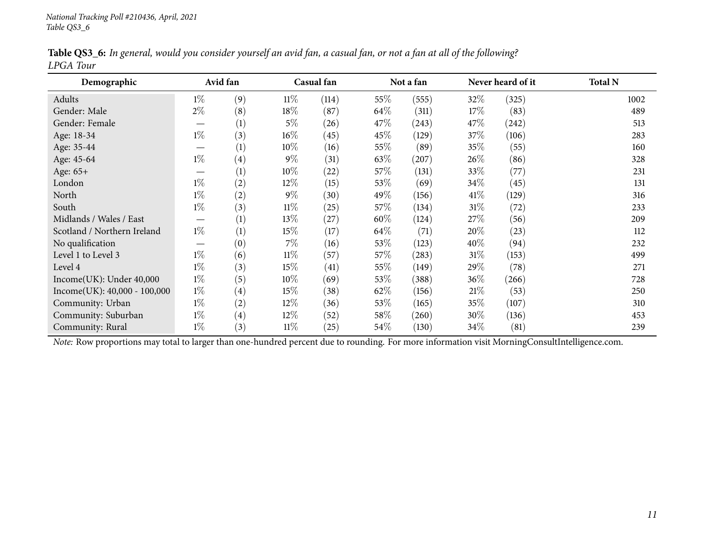|           |  |  |  | Table QS3_6: In general, would you consider yourself an avid fan, a casual fan, or not a fan at all of the following? |
|-----------|--|--|--|-----------------------------------------------------------------------------------------------------------------------|
| LPGA Tour |  |  |  |                                                                                                                       |

<span id="page-10-0"></span>

| Demographic                                                                                                                                    |                                | Avid fan          |        | Casual fan |        | Not a fan | Never heard of it |       | <b>Total N</b> |
|------------------------------------------------------------------------------------------------------------------------------------------------|--------------------------------|-------------------|--------|------------|--------|-----------|-------------------|-------|----------------|
| Adults                                                                                                                                         | $1\%$                          | (9)               | $11\%$ | (114)      | 55%    | (555)     | 32%               | (325) | 1002           |
| Gender: Male                                                                                                                                   | $2\%$                          | (8)               | 18\%   | (87)       | 64\%   | (311)     | 17%               | (83)  | 489            |
| Gender: Female                                                                                                                                 |                                | (1)               | $5\%$  | (26)       | 47\%   | (243)     | 47\%              | (242) | 513            |
| Age: 18-34                                                                                                                                     | $1\%$                          | (3)               | $16\%$ | (45)       | 45\%   | (129)     | 37\%              | (106) | 283            |
| Age: 35-44                                                                                                                                     | $\overbrace{\phantom{13333}}$  | (1)               | $10\%$ | (16)       | 55\%   | (89)      | 35%               | (55)  | 160            |
| Age: 45-64                                                                                                                                     | $1\%$                          | (4)               | $9\%$  | (31)       | 63\%   | (207)     | 26\%              | (86)  | 328            |
| Age: 65+                                                                                                                                       |                                | (1)               | $10\%$ | (22)       | 57\%   | (131)     | $33\%$            | (77)  | 231            |
| London                                                                                                                                         | $1\%$                          | (2)               | $12\%$ | (15)       | 53\%   | (69)      | $34\%$            | (45)  | 131            |
| North                                                                                                                                          | $1\%$                          | (2)               | $9\%$  | (30)       | 49\%   | (156)     | $41\%$            | (129) | 316            |
| South                                                                                                                                          | $1\%$                          | (3)               | $11\%$ | (25)       | 57\%   | (134)     | 31%               | (72)  | 233            |
| Midlands / Wales / East                                                                                                                        | $\overbrace{\phantom{123321}}$ | (1)               | $13\%$ | (27)       | 60%    | (124)     | 27\%              | (56)  | 209            |
| Scotland / Northern Ireland                                                                                                                    | $1\%$                          | (1)               | $15\%$ | (17)       | 64\%   | (71)      | 20%               | (23)  | 112            |
| No qualification                                                                                                                               | $\hspace{0.05cm}$              | (0)               | $7\%$  | (16)       | 53\%   | (123)     | $40\%$            | (94)  | 232            |
| Level 1 to Level 3                                                                                                                             | $1\%$                          | (6)               | $11\%$ | (57)       | 57\%   | (283)     | $31\%$            | (153) | 499            |
| Level 4                                                                                                                                        | $1\%$                          | (3)               | $15\%$ | (41)       | $55\%$ | (149)     | $29\%$            | (78)  | 271            |
| Income(UK): Under 40,000                                                                                                                       | $1\%$                          | (5)               | $10\%$ | (69)       | 53\%   | (388)     | $36\%$            | (266) | 728            |
| Income(UK): 40,000 - 100,000                                                                                                                   | $1\%$                          | $\left( 4\right)$ | $15\%$ | (38)       | 62\%   | (156)     | 21%               | (53)  | 250            |
| Community: Urban                                                                                                                               | $1\%$                          | (2)               | $12\%$ | (36)       | 53\%   | (165)     | 35%               | (107) | 310            |
| Community: Suburban                                                                                                                            | $1\%$                          | (4)               | $12\%$ | (52)       | $58\%$ | (260)     | $30\%$            | (136) | 453            |
| Community: Rural                                                                                                                               | $1\%$                          | (3)               | $11\%$ | (25)       | 54\%   | (130)     | $34\%$            | (81)  | 239            |
| Note: Row proportions may total to larger than one-hundred percent due to rounding. For more information visit MorningConsultIntelligence.com. |                                |                   |        |            |        |           |                   |       |                |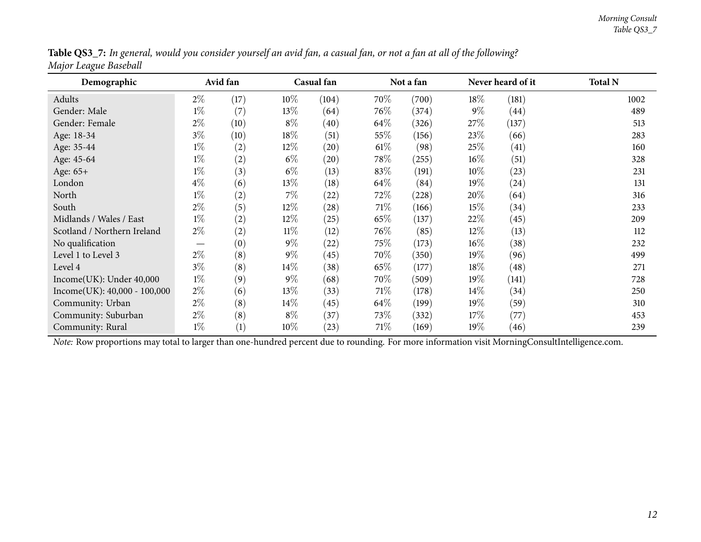|                       | Table QS3_7: In general, would you consider yourself an avid fan, a casual fan, or not a fan at all of the following? |
|-----------------------|-----------------------------------------------------------------------------------------------------------------------|
| Major League Baseball |                                                                                                                       |

<span id="page-11-0"></span>

| Demographic                                                                                                                                    | Avid fan |      |        | Casual fan |        | Not a fan |        | Never heard of it | <b>Total N</b> |
|------------------------------------------------------------------------------------------------------------------------------------------------|----------|------|--------|------------|--------|-----------|--------|-------------------|----------------|
| Adults                                                                                                                                         | $2\%$    | (17) | $10\%$ | (104)      | 70\%   | (700)     | $18\%$ | (181)             | 1002           |
| Gender: Male                                                                                                                                   | $1\%$    | (7)  | 13%    | (64)       | 76\%   | (374)     | $9\%$  | (44)              | 489            |
| Gender: Female                                                                                                                                 | $2\%$    | (10) | $8\%$  | (40)       | $64\%$ | (326)     | 27\%   | (137)             | 513            |
| Age: 18-34                                                                                                                                     | $3\%$    | (10) | $18\%$ | (51)       | 55\%   | (156)     | 23\%   | (66)              | 283            |
| Age: 35-44                                                                                                                                     | $1\%$    | (2)  | $12\%$ | (20)       | $61\%$ | (98)      | 25\%   | (41)              | 160            |
| Age: 45-64                                                                                                                                     | $1\%$    | (2)  | $6\%$  | (20)       | 78\%   | (255)     | $16\%$ | (51)              | 328            |
| Age: 65+                                                                                                                                       | $1\%$    | (3)  | $6\%$  | (13)       | 83\%   | (191)     | $10\%$ | (23)              | 231            |
| London                                                                                                                                         | $4\%$    | (6)  | 13\%   | (18)       | 64\%   | (84)      | 19%    | (24)              | 131            |
| North                                                                                                                                          | $1\%$    | (2)  | $7\%$  | (22)       | 72\%   | (228)     | 20%    | (64)              | 316            |
| South                                                                                                                                          | $2\%$    | (5)  | $12\%$ | (28)       | 71\%   | (166)     | 15%    | (34)              | 233            |
| Midlands / Wales / East                                                                                                                        | $1\%$    | (2)  | $12\%$ | (25)       | 65\%   | (137)     | 22%    | (45)              | 209            |
| Scotland / Northern Ireland                                                                                                                    | $2\%$    | (2)  | $11\%$ | (12)       | $76\%$ | (85)      | 12%    | (13)              | 112            |
| No qualification                                                                                                                               |          | (0)  | $9\%$  | (22)       | 75%    | (173)     | $16\%$ | (38)              | 232            |
| Level 1 to Level 3                                                                                                                             | $2\%$    | (8)  | $9\%$  | (45)       | 70\%   | (350)     | 19%    | (96)              | 499            |
| Level 4                                                                                                                                        | $3\%$    | (8)  | 14%    | (38)       | 65\%   | (177)     | $18\%$ | (48)              | 271            |
| Income(UK): Under 40,000                                                                                                                       | $1\%$    | (9)  | $9\%$  | (68)       | 70\%   | (509)     | 19%    | (141)             | 728            |
| $Income(UK): 40,000 - 100,000$                                                                                                                 | $2\%$    | (6)  | 13\%   | (33)       | 71\%   | (178)     | $14\%$ | (34)              | 250            |
| Community: Urban                                                                                                                               | $2\%$    | (8)  | $14\%$ | (45)       | $64\%$ | (199)     | 19%    | (59)              | 310            |
| Community: Suburban                                                                                                                            | $2\%$    | (8)  | $8\%$  | (37)       | 73\%   | (332)     | 17\%   | (77)              | 453            |
| Community: Rural                                                                                                                               | $1\%$    | (1)  | $10\%$ | $^{(23)}$  | 71%    | (169)     | $19\%$ | (46)              | 239            |
| Note: Row proportions may total to larger than one-hundred percent due to rounding. For more information visit MorningConsultIntelligence.com. |          |      |        |            |        |           |        |                   |                |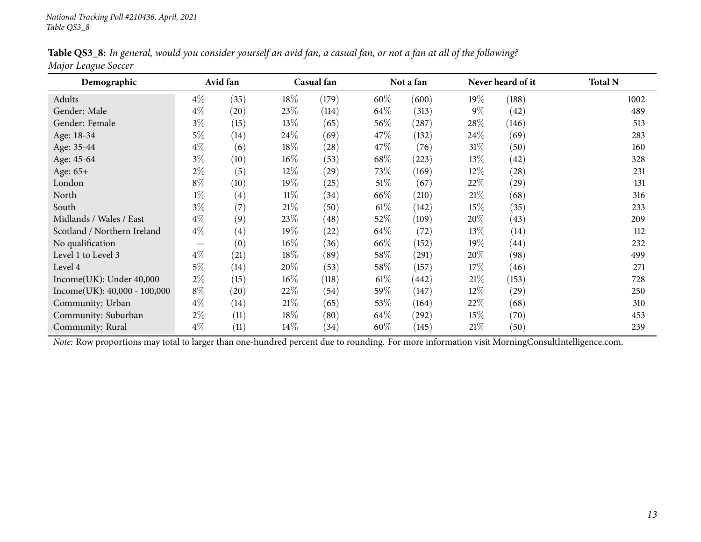|                     |  | Table QS3_8: In general, would you consider yourself an avid fan, a casual fan, or not a fan at all of the following? |
|---------------------|--|-----------------------------------------------------------------------------------------------------------------------|
| Major League Soccer |  |                                                                                                                       |

<span id="page-12-0"></span>

| Demographic                    | Avid fan                      |                    |        | Casual fan         |        | Not a fan           |        | Never heard of it  | <b>Total N</b> |
|--------------------------------|-------------------------------|--------------------|--------|--------------------|--------|---------------------|--------|--------------------|----------------|
| Adults                         | $4\%$                         | (35)               | $18\%$ | (179)              | 60%    | (600)               | 19%    | (188)              | 1002           |
| Gender: Male                   | $4\%$                         | $\left( 20\right)$ | 23\%   | (114)              | 64\%   | (313)               | $9\%$  | (42)               | 489            |
| Gender: Female                 | $3\%$                         | (15)               | $13\%$ | (65)               | 56\%   | (287)               | $28\%$ | (146)              | 513            |
| Age: 18-34                     | $5\%$                         | (14)               | 24\%   | (69)               | 47\%   | (132)               | 24%    | (69)               | 283            |
| Age: 35-44                     | $4\%$                         | (6)                | 18%    | $\left( 28\right)$ | 47\%   | (76)                | $31\%$ | (50)               | 160            |
| Age: 45-64                     | $3\%$                         | (10)               | $16\%$ | (53)               | 68\%   | (223)               | $13\%$ | (42)               | 328            |
| Age: 65+                       | $2\%$                         | (5)                | $12\%$ | $\left( 29\right)$ | 73\%   | (169)               | $12\%$ | $\left( 28\right)$ | 231            |
| London                         | $8\%$                         | (10)               | $19\%$ | (25)               | $51\%$ | (67)                | 22\%   | (29)               | 131            |
| North                          | $1\%$                         | $\left( 4\right)$  | $11\%$ | (34)               | 66\%   | (210)               | 21%    | (68)               | 316            |
| South                          | $3\%$                         | (7)                | 21%    | (50)               | $61\%$ | (142)               | $15\%$ | (35)               | 233            |
| Midlands / Wales / East        | $4\%$                         | (9)                | 23\%   | (48)               | 52\%   | (109)               | 20%    | (43)               | 209            |
| Scotland / Northern Ireland    | $4\%$                         | $\left( 4\right)$  | $19\%$ | (22)               | 64\%   | (72)                | $13\%$ | (14)               | 112            |
| No qualification               | $\overbrace{\phantom{13333}}$ | (0)                | $16\%$ | (36)               | 66\%   | (152)               | 19%    | $\left( 44\right)$ | 232            |
| Level 1 to Level 3             | $4\%$                         | (21)               | $18\%$ | (89)               | 58\%   | (291)               | $20\%$ | (98)               | 499            |
| Level 4                        | $5\%$                         | (14)               | 20%    | (53)               | 58\%   | (157)               | $17\%$ | (46)               | 271            |
| Income(UK): Under 40,000       | $2\%$                         | (15)               | $16\%$ | (118)              | $61\%$ | (442)               | 21%    | (153)              | 728            |
| $Income(UK): 40,000 - 100,000$ | $8\%$                         | $\left( 20\right)$ | 22\%   | (54)               | 59%    | (147)               | $12\%$ | (29)               | 250            |
| Community: Urban               | $4\%$                         | (14)               | 21%    | (65)               | 53\%   | (164)               | 22\%   | (68)               | 310            |
| Community: Suburban            | $2\%$                         | (11)               | $18\%$ | (80)               | 64\%   | $\left( 292\right)$ | $15\%$ | (70)               | 453            |
| Community: Rural               | $4\%$                         | (11)               | $14\%$ | (34)               | 60%    | (145)               | 21%    | (50)               | 239            |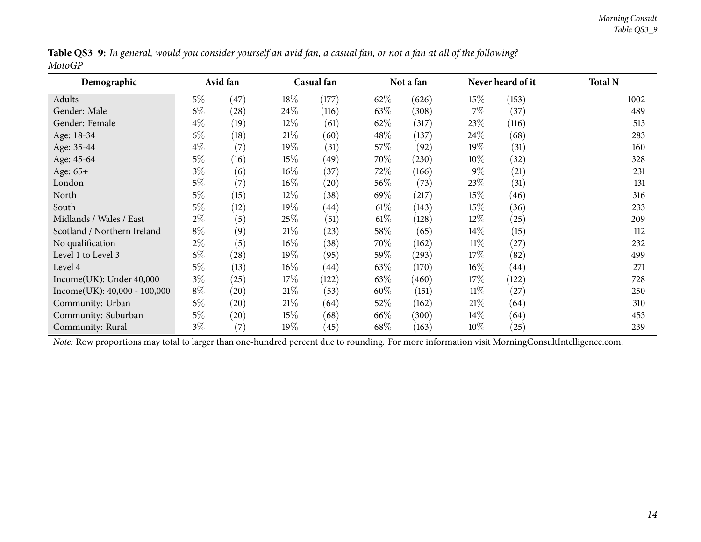|        | <b>Table QS3_9:</b> In general, would you consider yourself an avid fan, a casual fan, or not a fan at all of the following? |
|--------|------------------------------------------------------------------------------------------------------------------------------|
| MotoGP |                                                                                                                              |

<span id="page-13-0"></span>

| Demographic                                                                                                                                    | Avid fan |                    |        | Casual fan         |        | Not a fan |        | Never heard of it | <b>Total N</b> |
|------------------------------------------------------------------------------------------------------------------------------------------------|----------|--------------------|--------|--------------------|--------|-----------|--------|-------------------|----------------|
| Adults                                                                                                                                         | $5\%$    | (47)               | $18\%$ | (177)              | 62\%   | (626)     | $15\%$ | (153)             | 1002           |
| Gender: Male                                                                                                                                   | $6\%$    | (28)               | $24\%$ | (116)              | 63\%   | (308)     | $7\%$  | (37)              | 489            |
| Gender: Female                                                                                                                                 | $4\%$    | (19)               | $12\%$ | (61)               | 62\%   | (317)     | 23\%   | (116)             | 513            |
| Age: 18-34                                                                                                                                     | $6\%$    | (18)               | $21\%$ | (60)               | $48\%$ | (137)     | 24%    | (68)              | 283            |
| Age: 35-44                                                                                                                                     | $4\%$    | (7)                | 19%    | (31)               | 57\%   | (92)      | 19%    | (31)              | 160            |
| Age: 45-64                                                                                                                                     | $5\%$    | (16)               | 15%    | (49)               | 70\%   | (230)     | $10\%$ | (32)              | 328            |
| Age: 65+                                                                                                                                       | $3\%$    | (6)                | $16\%$ | (37)               | 72\%   | (166)     | $9\%$  | (21)              | 231            |
| London                                                                                                                                         | $5\%$    | (7)                | $16\%$ | (20)               | $56\%$ | (73)      | 23%    | (31)              | 131            |
| North                                                                                                                                          | $5\%$    | (15)               | $12\%$ | (38)               | 69\%   | (217)     | 15%    | (46)              | 316            |
| South                                                                                                                                          | $5\%$    | (12)               | 19%    | $\left( 44\right)$ | $61\%$ | (143)     | 15%    | (36)              | 233            |
| Midlands / Wales / East                                                                                                                        | $2\%$    | (5)                | 25\%   | (51)               | $61\%$ | (128)     | $12\%$ | (25)              | 209            |
| Scotland / Northern Ireland                                                                                                                    | $8\%$    | (9)                | 21%    | (23)               | 58\%   | (65)      | $14\%$ | (15)              | 112            |
| No qualification                                                                                                                               | $2\%$    | (5)                | $16\%$ | (38)               | 70\%   | (162)     | $11\%$ | (27)              | 232            |
| Level 1 to Level 3                                                                                                                             | $6\%$    | (28)               | 19%    | (95)               | $59\%$ | (293)     | 17%    | (82)              | 499            |
| Level 4                                                                                                                                        | $5\%$    | (13)               | $16\%$ | (44)               | 63\%   | (170)     | $16\%$ | (44)              | 271            |
| Income(UK): Under 40,000                                                                                                                       | $3\%$    | (25)               | 17%    | (122)              | 63\%   | (460)     | 17%    | (122)             | 728            |
| $Income(UK): 40,000 - 100,000$                                                                                                                 | $8\%$    | $\left( 20\right)$ | 21%    | (53)               | 60%    | (151)     | $11\%$ | (27)              | 250            |
| Community: Urban                                                                                                                               | $6\%$    | (20)               | 21%    | (64)               | 52\%   | (162)     | 21%    | (64)              | 310            |
| Community: Suburban                                                                                                                            | $5\%$    | $\left( 20\right)$ | 15%    | (68)               | 66\%   | (300)     | $14\%$ | (64)              | 453            |
| Community: Rural                                                                                                                               | $3\%$    | (7)                | 19%    | (45)               | 68\%   | (163)     | $10\%$ | (25)              | 239            |
| Note: Row proportions may total to larger than one-hundred percent due to rounding. For more information visit MorningConsultIntelligence.com. |          |                    |        |                    |        |           |        |                   |                |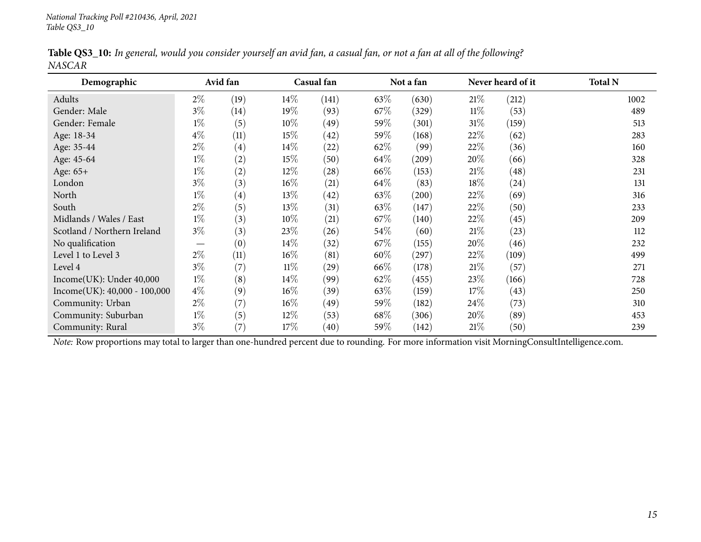|               |  |  |  | Table QS3_10: In general, would you consider yourself an avid fan, a casual fan, or not a fan at all of the following? |
|---------------|--|--|--|------------------------------------------------------------------------------------------------------------------------|
| <b>NASCAR</b> |  |  |  |                                                                                                                        |

<span id="page-14-0"></span>

| Demographic                                                                                                                                    |                               | Avid fan |        | Casual fan         |        | Not a fan |        | Never heard of it | <b>Total N</b> |
|------------------------------------------------------------------------------------------------------------------------------------------------|-------------------------------|----------|--------|--------------------|--------|-----------|--------|-------------------|----------------|
| Adults                                                                                                                                         | $2\%$                         | (19)     | $14\%$ | (141)              | 63\%   | (630)     | 21%    | (212)             | 1002           |
| Gender: Male                                                                                                                                   | $3\%$                         | (14)     | 19%    | (93)               | 67%    | (329)     | $11\%$ | (53)              | 489            |
| Gender: Female                                                                                                                                 | $1\%$                         | (5)      | $10\%$ | (49)               | 59%    | (301)     | $31\%$ | (159)             | 513            |
| Age: 18-34                                                                                                                                     | $4\%$                         | (11)     | 15%    | (42)               | 59%    | (168)     | 22%    | (62)              | 283            |
| Age: 35-44                                                                                                                                     | $2\%$                         | (4)      | $14\%$ | (22)               | 62\%   | (99)      | 22\%   | (36)              | 160            |
| Age: 45-64                                                                                                                                     | $1\%$                         | (2)      | 15%    | (50)               | 64\%   | (209)     | 20%    | (66)              | 328            |
| Age: 65+                                                                                                                                       | $1\%$                         | (2)      | $12\%$ | $\left( 28\right)$ | 66\%   | (153)     | 21%    | (48)              | 231            |
| London                                                                                                                                         | $3\%$                         | (3)      | $16\%$ | (21)               | 64\%   | (83)      | 18%    | (24)              | 131            |
| North                                                                                                                                          | $1\%$                         | (4)      | 13\%   | (42)               | 63\%   | (200)     | 22%    | (69)              | 316            |
| South                                                                                                                                          | $2\%$                         | (5)      | $13\%$ | (31)               | 63\%   | (147)     | 22%    | (50)              | 233            |
| Midlands / Wales / East                                                                                                                        | $1\%$                         | (3)      | $10\%$ | (21)               | 67\%   | (140)     | 22%    | (45)              | 209            |
| Scotland / Northern Ireland                                                                                                                    | $3\%$                         | (3)      | 23\%   | (26)               | 54\%   | (60)      | 21%    | (23)              | 112            |
| No qualification                                                                                                                               | $\overbrace{\phantom{13333}}$ | (0)      | $14\%$ | (32)               | $67\%$ | (155)     | 20%    | (46)              | 232            |
| Level 1 to Level 3                                                                                                                             | $2\%$                         | (11)     | $16\%$ | (81)               | 60%    | (297)     | 22%    | (109)             | 499            |
| Level 4                                                                                                                                        | $3\%$                         | (7)      | $11\%$ | $\left( 29\right)$ | 66\%   | (178)     | 21%    | (57)              | 271            |
| Income(UK): Under 40,000                                                                                                                       | $1\%$                         | (8)      | $14\%$ | (99)               | 62\%   | (455)     | 23\%   | (166)             | 728            |
| $Income(UK): 40,000 - 100,000$                                                                                                                 | $4\%$                         | (9)      | $16\%$ | (39)               | 63\%   | (159)     | 17%    | (43)              | 250            |
| Community: Urban                                                                                                                               | $2\%$                         | (7)      | $16\%$ | (49)               | 59%    | (182)     | 24\%   | (73)              | 310            |
| Community: Suburban                                                                                                                            | $1\%$                         | (5)      | $12\%$ | (53)               | 68\%   | (306)     | 20%    | (89)              | 453            |
| Community: Rural                                                                                                                               | $3\%$                         | (7)      | 17%    | (40)               | 59%    | (142)     | $21\%$ | (50)              | 239            |
| Note: Row proportions may total to larger than one-hundred percent due to rounding. For more information visit MorningConsultIntelligence.com. |                               |          |        |                    |        |           |        |                   |                |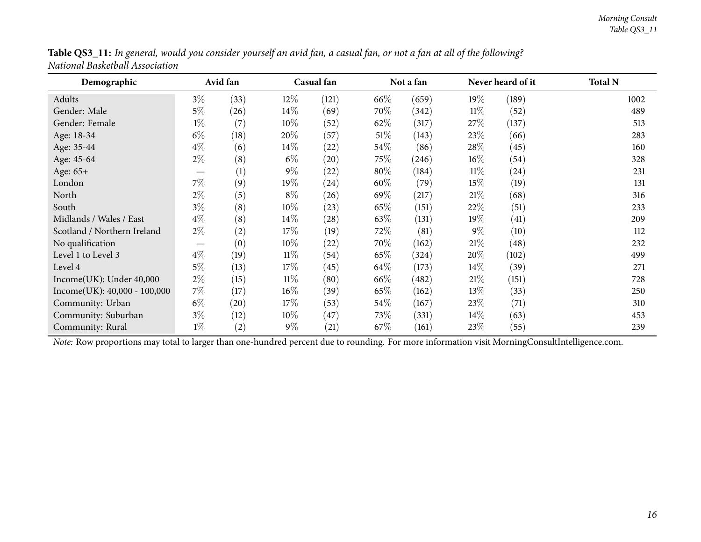<span id="page-15-0"></span>

| Demographic                                                                                                                                    |                          | Avid fan           |        | Casual fan         |        | Not a fan |        | Never heard of it | <b>Total N</b> |
|------------------------------------------------------------------------------------------------------------------------------------------------|--------------------------|--------------------|--------|--------------------|--------|-----------|--------|-------------------|----------------|
| Adults                                                                                                                                         | $3\%$                    | (33)               | $12\%$ | (121)              | 66\%   | (659)     | 19%    | (189)             | 1002           |
| Gender: Male                                                                                                                                   | $5\%$                    | (26)               | $14\%$ | (69)               | 70%    | (342)     | $11\%$ | (52)              | 489            |
| Gender: Female                                                                                                                                 | $1\%$                    | (7)                | $10\%$ | (52)               | 62%    | (317)     | 27\%   | (137)             | 513            |
| Age: 18-34                                                                                                                                     | $6\%$                    | (18)               | 20%    | (57)               | $51\%$ | (143)     | 23\%   | (66)              | 283            |
| Age: 35-44                                                                                                                                     | $4\%$                    | (6)                | $14\%$ | (22)               | 54\%   | (86)      | 28\%   | (45)              | 160            |
| Age: 45-64                                                                                                                                     | $2\%$                    | (8)                | $6\%$  | $\left( 20\right)$ | 75\%   | (246)     | $16\%$ | (54)              | 328            |
| Age: 65+                                                                                                                                       |                          | (1)                | $9\%$  | (22)               | 80%    | (184)     | $11\%$ | $^{(24)}$         | 231            |
| London                                                                                                                                         | $7\%$                    | (9)                | 19%    | $^{(24)}$          | $60\%$ | (79)      | 15%    | (19)              | 131            |
| North                                                                                                                                          | $2\%$                    | (5)                | $8\%$  | (26)               | 69\%   | (217)     | 21%    | (68)              | 316            |
| South                                                                                                                                          | $3\%$                    | (8)                | $10\%$ | (23)               | 65%    | (151)     | 22%    | (51)              | 233            |
| Midlands / Wales / East                                                                                                                        | $4\%$                    | (8)                | $14\%$ | $\left( 28\right)$ | 63\%   | (131)     | 19%    | (41)              | 209            |
| Scotland / Northern Ireland                                                                                                                    | $2\%$                    | (2)                | 17%    | (19)               | 72\%   | (81)      | $9\%$  | (10)              | 112            |
| No qualification                                                                                                                               | $\overline{\phantom{0}}$ | (0)                | $10\%$ | (22)               | 70\%   | (162)     | 21%    | (48)              | 232            |
| Level 1 to Level 3                                                                                                                             | $4\%$                    | (19)               | $11\%$ | (54)               | 65\%   | (324)     | 20%    | (102)             | 499            |
| Level 4                                                                                                                                        | $5\%$                    | (13)               | 17%    | (45)               | 64\%   | (173)     | $14\%$ | (39)              | 271            |
| Income(UK): Under 40,000                                                                                                                       | $2\%$                    | (15)               | $11\%$ | (80)               | 66\%   | (482)     | 21%    | (151)             | 728            |
| $Income(UK): 40,000 - 100,000$                                                                                                                 | $7\%$                    | (17)               | $16\%$ | (39)               | 65%    | (162)     | 13\%   | (33)              | 250            |
| Community: Urban                                                                                                                               | $6\%$                    | $\left( 20\right)$ | 17%    | (53)               | $54\%$ | (167)     | 23\%   | (71)              | 310            |
| Community: Suburban                                                                                                                            | $3\%$                    | (12)               | $10\%$ | (47)               | 73\%   | (331)     | $14\%$ | (63)              | 453            |
| Community: Rural                                                                                                                               | $1\%$                    | (2)                | $9\%$  | (21)               | 67\%   | (161)     | 23\%   | (55)              | 239            |
| Note: Row proportions may total to larger than one-hundred percent due to rounding. For more information visit MorningConsultIntelligence.com. |                          |                    |        |                    |        |           |        |                   |                |

Table QS3\_11: In general, would you consider yourself an avid fan, a casual fan, or not a fan at all of the following? *National Basketball Association*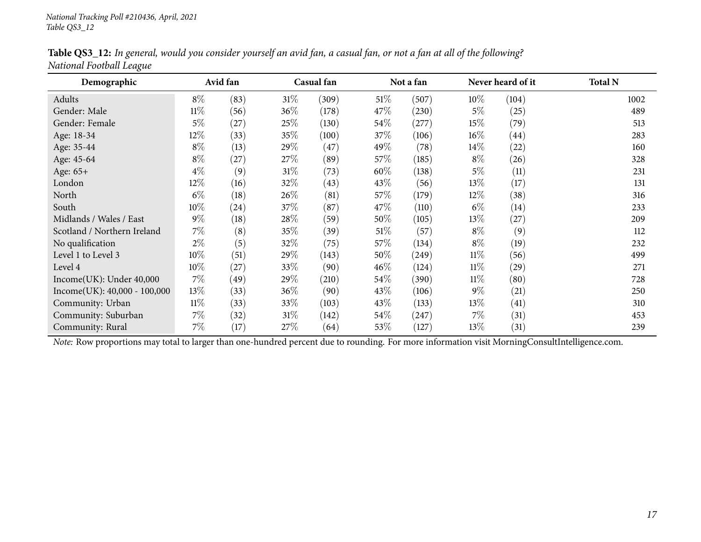|                          |  | Table QS3_12: In general, would you consider yourself an avid fan, a casual fan, or not a fan at all of the following? |  |
|--------------------------|--|------------------------------------------------------------------------------------------------------------------------|--|
| National Football League |  |                                                                                                                        |  |

<span id="page-16-0"></span>

| Demographic                    |        | Avid fan |        | Casual fan |        | Not a fan |        | Never heard of it  | <b>Total N</b> |
|--------------------------------|--------|----------|--------|------------|--------|-----------|--------|--------------------|----------------|
| Adults                         | $8\%$  | (83)     | $31\%$ | (309)      | $51\%$ | (507)     | $10\%$ | (104)              | 1002           |
| Gender: Male                   | $11\%$ | (56)     | $36\%$ | (178)      | 47\%   | (230)     | $5\%$  | (25)               | 489            |
| Gender: Female                 | $5\%$  | (27)     | 25\%   | (130)      | $54\%$ | (277)     | $15\%$ | (79)               | 513            |
| Age: 18-34                     | 12%    | (33)     | 35%    | (100)      | 37\%   | (106)     | $16\%$ | $\left( 44\right)$ | 283            |
| Age: 35-44                     | $8\%$  | (13)     | 29\%   | (47)       | 49%    | (78)      | $14\%$ | (22)               | 160            |
| Age: 45-64                     | $8\%$  | (27)     | 27\%   | (89)       | $57\%$ | (185)     | $8\%$  | (26)               | 328            |
| Age: 65+                       | $4\%$  | (9)      | $31\%$ | (73)       | 60%    | (138)     | $5\%$  | (11)               | 231            |
| London                         | 12%    | (16)     | 32\%   | (43)       | 43\%   | (56)      | $13\%$ | (17)               | 131            |
| North                          | $6\%$  | (18)     | $26\%$ | (81)       | 57\%   | (179)     | 12%    | (38)               | 316            |
| South                          | 10%    | (24)     | 37\%   | (87)       | 47\%   | (110)     | $6\%$  | (14)               | 233            |
| Midlands / Wales / East        | $9\%$  | (18)     | $28\%$ | (59)       | 50%    | (105)     | $13\%$ | (27)               | 209            |
| Scotland / Northern Ireland    | $7\%$  | (8)      | 35\%   | (39)       | $51\%$ | (57)      | $8\%$  | (9)                | 112            |
| No qualification               | $2\%$  | (5)      | 32\%   | (75)       | $57\%$ | (134)     | $8\%$  | (19)               | 232            |
| Level 1 to Level 3             | $10\%$ | (51)     | 29\%   | (143)      | 50%    | (249)     | 11%    | (56)               | 499            |
| Level 4                        | $10\%$ | (27)     | 33\%   | (90)       | $46\%$ | (124)     | $11\%$ | (29)               | 271            |
| Income(UK): Under 40,000       | $7\%$  | (49)     | 29\%   | (210)      | 54\%   | (390)     | $11\%$ | (80)               | 728            |
| $Income(UK): 40,000 - 100,000$ | 13%    | (33)     | $36\%$ | (90)       | 43\%   | (106)     | $9\%$  | (21)               | 250            |
| Community: Urban               | $11\%$ | (33)     | 33\%   | (103)      | 43\%   | (133)     | $13\%$ | (41)               | 310            |
| Community: Suburban            | $7\%$  | (32)     | $31\%$ | (142)      | 54\%   | (247)     | $7\%$  | (31)               | 453            |
| Community: Rural               | $7\%$  | (17)     | 27\%   | (64)       | 53\%   | (127)     | 13\%   | (31)               | 239            |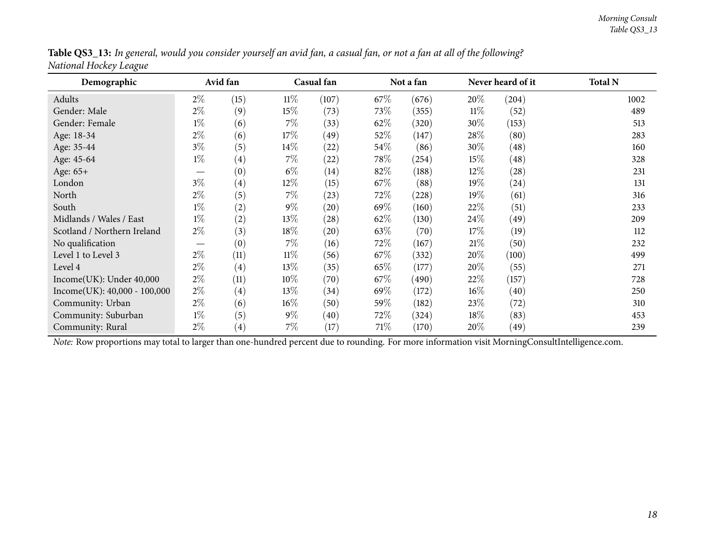<span id="page-17-0"></span>

| ပ<br>Demographic               |       | Avid fan          |        | Casual fan         |        | Not a fan |        | Never heard of it | <b>Total N</b> |
|--------------------------------|-------|-------------------|--------|--------------------|--------|-----------|--------|-------------------|----------------|
| Adults                         | $2\%$ | (15)              | $11\%$ | (107)              | 67%    | (676)     | 20\%   | (204)             | 1002           |
| Gender: Male                   | $2\%$ | (9)               | 15%    | (73)               | 73\%   | (355)     | $11\%$ | (52)              | 489            |
| Gender: Female                 | $1\%$ | (6)               | $7\%$  | (33)               | 62\%   | (320)     | 30%    | (153)             | 513            |
| Age: 18-34                     | $2\%$ | (6)               | 17\%   | (49)               | $52\%$ | (147)     | 28\%   | (80)              | 283            |
| Age: 35-44                     | $3\%$ | (5)               | $14\%$ | (22)               | 54\%   | (86)      | 30%    | (48)              | 160            |
| Age: 45-64                     | $1\%$ | $\left( 4\right)$ | $7\%$  | (22)               | 78\%   | (254)     | 15%    | (48)              | 328            |
| Age: 65+                       |       | (0)               | $6\%$  | (14)               | 82%    | (188)     | 12\%   | (28)              | 231            |
| London                         | $3\%$ | $\left( 4\right)$ | $12\%$ | (15)               | 67\%   | (88)      | 19%    | (24)              | 131            |
| North                          | $2\%$ | (5)               | $7\%$  | (23)               | 72\%   | (228)     | 19%    | (61)              | 316            |
| South                          | $1\%$ | (2)               | $9\%$  | $\left( 20\right)$ | 69%    | (160)     | 22%    | (51)              | 233            |
| Midlands / Wales / East        | $1\%$ | (2)               | 13\%   | (28)               | 62\%   | (130)     | 24%    | (49)              | 209            |
| Scotland / Northern Ireland    | $2\%$ | (3)               | 18\%   | $\left( 20\right)$ | 63\%   | (70)      | 17%    | (19)              | 112            |
| No qualification               |       | (0)               | $7\%$  | (16)               | 72\%   | (167)     | 21%    | (50)              | 232            |
| Level 1 to Level 3             | $2\%$ | (11)              | $11\%$ | (56)               | 67\%   | (332)     | 20%    | (100)             | 499            |
| Level 4                        | $2\%$ | $\left( 4\right)$ | 13\%   | (35)               | 65\%   | (177)     | $20\%$ | (55)              | 271            |
| Income(UK): Under 40,000       | $2\%$ | (11)              | $10\%$ | (70)               | 67\%   | (490)     | 22%    | (157)             | 728            |
| $Income(UK): 40,000 - 100,000$ | $2\%$ | $\left( 4\right)$ | 13\%   | (34)               | 69%    | (172)     | $16\%$ | (40)              | 250            |
| Community: Urban               | $2\%$ | (6)               | $16\%$ | (50)               | 59%    | (182)     | 23\%   | (72)              | 310            |
| Community: Suburban            | $1\%$ | (5)               | $9\%$  | (40)               | 72%    | (324)     | $18\%$ | (83)              | 453            |
| Community: Rural               | $2\%$ | $\left( 4\right)$ | $7\%$  | (17)               | 71\%   | (170)     | $20\%$ | (49)              | 239            |

Table QS3\_13: In general, would you consider yourself an avid fan, a casual fan, or not a fan at all of the following? *National Hockey League*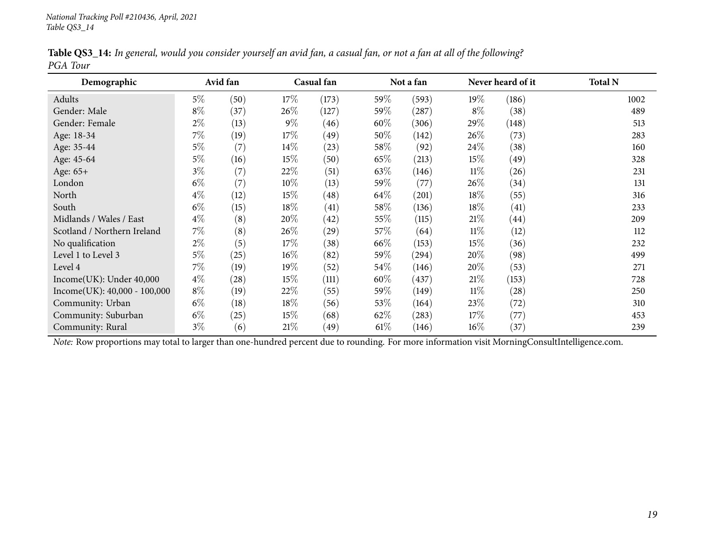|          |  |  |  | Table QS3_14: In general, would you consider yourself an avid fan, a casual fan, or not a fan at all of the following? |
|----------|--|--|--|------------------------------------------------------------------------------------------------------------------------|
| PGA Tour |  |  |  |                                                                                                                        |

<span id="page-18-0"></span>

| Demographic                    |       | Avid fan           |        | Casual fan |        | Not a fan |        | Never heard of it  | <b>Total N</b> |
|--------------------------------|-------|--------------------|--------|------------|--------|-----------|--------|--------------------|----------------|
| Adults                         | $5\%$ | (50)               | $17\%$ | (173)      | 59%    | (593)     | 19%    | (186)              | 1002           |
| Gender: Male                   | $8\%$ | (37)               | $26\%$ | (127)      | 59%    | (287)     | $8\%$  | (38)               | 489            |
| Gender: Female                 | $2\%$ | (13)               | $9\%$  | (46)       | 60%    | (306)     | 29\%   | (148)              | 513            |
| Age: 18-34                     | $7\%$ | (19)               | $17\%$ | (49)       | 50%    | (142)     | $26\%$ | (73)               | 283            |
| Age: 35-44                     | $5\%$ | (7)                | $14\%$ | (23)       | 58\%   | (92)      | 24\%   | (38)               | 160            |
| Age: 45-64                     | $5\%$ | (16)               | $15\%$ | (50)       | 65\%   | (213)     | 15%    | (49)               | 328            |
| Age: 65+                       | $3\%$ | (7)                | 22\%   | (51)       | 63\%   | (146)     | 11%    | (26)               | 231            |
| London                         | $6\%$ | (7)                | 10\%   | (13)       | 59%    | (77)      | 26%    | (34)               | 131            |
| North                          | $4\%$ | (12)               | $15\%$ | (48)       | 64\%   | (201)     | $18\%$ | (55)               | 316            |
| South                          | $6\%$ | (15)               | $18\%$ | (41)       | 58\%   | (136)     | $18\%$ | (41)               | 233            |
| Midlands / Wales / East        | $4\%$ | (8)                | $20\%$ | (42)       | $55\%$ | (115)     | 21%    | $\left( 44\right)$ | 209            |
| Scotland / Northern Ireland    | $7\%$ | (8)                | $26\%$ | (29)       | 57\%   | (64)      | $11\%$ | (12)               | 112            |
| No qualification               | $2\%$ | (5)                | 17%    | (38)       | 66\%   | (153)     | 15%    | (36)               | 232            |
| Level 1 to Level 3             | $5\%$ | (25)               | $16\%$ | (82)       | 59%    | (294)     | 20%    | (98)               | 499            |
| Level 4                        | $7\%$ | (19)               | $19\%$ | (52)       | 54\%   | (146)     | $20\%$ | (53)               | 271            |
| Income(UK): Under 40,000       | $4\%$ | $\left( 28\right)$ | $15\%$ | (111)      | 60%    | (437)     | 21%    | (153)              | 728            |
| $Income(UK): 40,000 - 100,000$ | $8\%$ | (19)               | 22\%   | (55)       | 59%    | (149)     | $11\%$ | (28)               | 250            |
| Community: Urban               | $6\%$ | (18)               | $18\%$ | (56)       | 53\%   | (164)     | 23\%   | (72)               | 310            |
| Community: Suburban            | $6\%$ | (25)               | $15\%$ | (68)       | 62\%   | (283)     | 17%    | (77)               | 453            |
| Community: Rural               | $3\%$ | (6)                | 21%    | (49)       | $61\%$ | (146)     | $16\%$ | (37)               | 239            |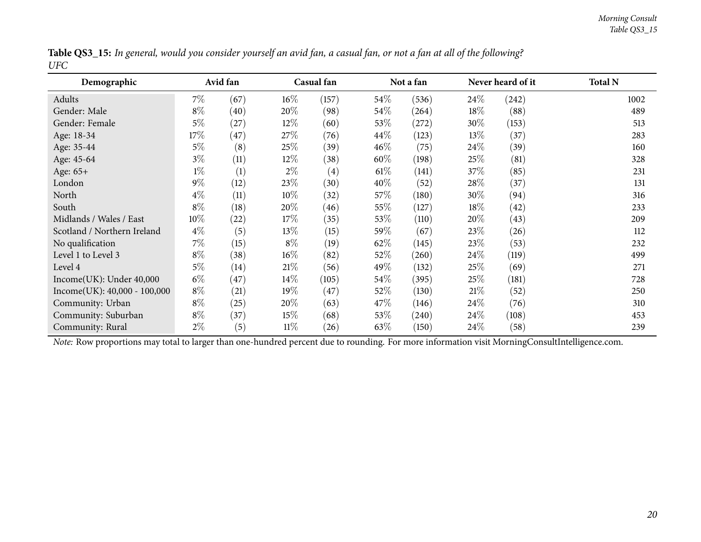|     |  |  |  | Table QS3_15: In general, would you consider yourself an avid fan, a casual fan, or not a fan at all of the following? |
|-----|--|--|--|------------------------------------------------------------------------------------------------------------------------|
| UFC |  |  |  |                                                                                                                        |

<span id="page-19-0"></span>

| Demographic                    |                                                                                                                                                | Avid fan |        | Casual fan        |        | Not a fan |        | Never heard of it | <b>Total N</b> |  |
|--------------------------------|------------------------------------------------------------------------------------------------------------------------------------------------|----------|--------|-------------------|--------|-----------|--------|-------------------|----------------|--|
| Adults                         | $7\%$                                                                                                                                          | (67)     | $16\%$ | (157)             | $54\%$ | (536)     | $24\%$ | (242)             | 1002           |  |
| Gender: Male                   | $8\%$                                                                                                                                          | (40)     | 20%    | (98)              | $54\%$ | (264)     | $18\%$ | (88)              | 489            |  |
| Gender: Female                 | $5\%$                                                                                                                                          | (27)     | $12\%$ | (60)              | 53\%   | (272)     | 30\%   | (153)             | 513            |  |
| Age: 18-34                     | 17%                                                                                                                                            | (47)     | 27\%   | (76)              | 44\%   | (123)     | $13\%$ | (37)              | 283            |  |
| Age: 35-44                     | $5\%$                                                                                                                                          | (8)      | 25\%   | (39)              | $46\%$ | (75)      | $24\%$ | (39)              | 160            |  |
| Age: 45-64                     | $3\%$                                                                                                                                          | (11)     | $12\%$ | (38)              | $60\%$ | (198)     | 25\%   | (81)              | 328            |  |
| Age: 65+                       | $1\%$                                                                                                                                          | (1)      | $2\%$  | $\left( 4\right)$ | $61\%$ | (141)     | 37%    | (85)              | 231            |  |
| London                         | $9\%$                                                                                                                                          | (12)     | 23\%   | (30)              | $40\%$ | (52)      | 28\%   | (37)              | 131            |  |
| North                          | $4\%$                                                                                                                                          | (11)     | $10\%$ | (32)              | 57\%   | (180)     | 30%    | (94)              | 316            |  |
| South                          | $8\%$                                                                                                                                          | (18)     | 20%    | (46)              | 55\%   | (127)     | $18\%$ | (42)              | 233            |  |
| Midlands / Wales / East        | 10%                                                                                                                                            | (22)     | 17%    | (35)              | 53\%   | (110)     | $20\%$ | (43)              | 209            |  |
| Scotland / Northern Ireland    | $4\%$                                                                                                                                          | (5)      | 13\%   | (15)              | $59\%$ | (67)      | 23%    | (26)              | 112            |  |
| No qualification               | $7\%$                                                                                                                                          | (15)     | $8\%$  | (19)              | 62\%   | (145)     | 23\%   | (53)              | 232            |  |
| Level 1 to Level 3             | $8\%$                                                                                                                                          | (38)     | $16\%$ | (82)              | 52\%   | (260)     | 24%    | (119)             | 499            |  |
| Level 4                        | $5\%$                                                                                                                                          | (14)     | 21%    | (56)              | 49%    | (132)     | 25%    | (69)              | 271            |  |
| Income(UK): Under 40,000       | $6\%$                                                                                                                                          | (47)     | $14\%$ | (105)             | $54\%$ | (395)     | 25%    | (181)             | 728            |  |
| $Income(UK): 40,000 - 100,000$ | $8\%$                                                                                                                                          | (21)     | $19\%$ | (47)              | $52\%$ | (130)     | 21%    | (52)              | 250            |  |
| Community: Urban               | $8\%$                                                                                                                                          | (25)     | $20\%$ | (63)              | 47\%   | (146)     | $24\%$ | (76)              | 310            |  |
| Community: Suburban            | $8\%$                                                                                                                                          | (37)     | 15%    | (68)              | 53\%   | (240)     | $24\%$ | (108)             | 453            |  |
| Community: Rural               | $2\%$                                                                                                                                          | (5)      | $11\%$ | (26)              | 63\%   | (150)     | $24\%$ | (58)              | 239            |  |
|                                | Note: Row proportions may total to larger than one-hundred percent due to rounding. For more information visit MorningConsultIntelligence.com. |          |        |                   |        |           |        |                   |                |  |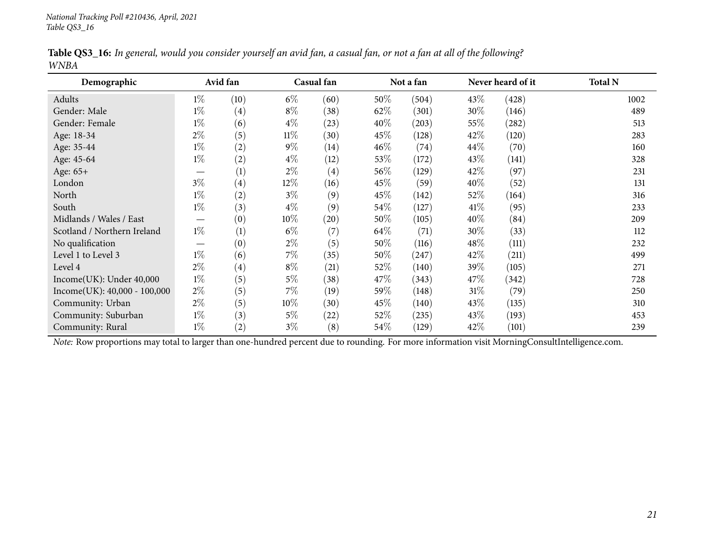|      |  |  |  | Table QS3_16: In general, would you consider yourself an avid fan, a casual fan, or not a fan at all of the following? |
|------|--|--|--|------------------------------------------------------------------------------------------------------------------------|
| WNBA |  |  |  |                                                                                                                        |

<span id="page-20-0"></span>

| Demographic                  |                                                                                                                                                | Avid fan |        | Casual fan         |        | Not a fan |        | Never heard of it | <b>Total N</b> |  |
|------------------------------|------------------------------------------------------------------------------------------------------------------------------------------------|----------|--------|--------------------|--------|-----------|--------|-------------------|----------------|--|
| Adults                       | $1\%$                                                                                                                                          | (10)     | $6\%$  | (60)               | 50%    | (504)     | 43\%   | (428)             | 1002           |  |
| Gender: Male                 | $1\%$                                                                                                                                          | (4)      | $8\%$  | (38)               | 62\%   | (301)     | 30%    | (146)             | 489            |  |
| Gender: Female               | $1\%$                                                                                                                                          | (6)      | $4\%$  | (23)               | 40%    | (203)     | 55\%   | (282)             | 513            |  |
| Age: 18-34                   | $2\%$                                                                                                                                          | (5)      | $11\%$ | (30)               | 45\%   | (128)     | 42%    | (120)             | 283            |  |
| Age: 35-44                   | $1\%$                                                                                                                                          | (2)      | $9\%$  | (14)               | $46\%$ | (74)      | $44\%$ | (70)              | 160            |  |
| Age: 45-64                   | $1\%$                                                                                                                                          | (2)      | $4\%$  | (12)               | 53\%   | (172)     | 43%    | (141)             | 328            |  |
| Age: 65+                     |                                                                                                                                                | (1)      | $2\%$  | (4)                | 56\%   | (129)     | 42%    | (97)              | 231            |  |
| London                       | $3\%$                                                                                                                                          | (4)      | 12%    | (16)               | 45\%   | (59)      | $40\%$ | (52)              | 131            |  |
| North                        | $1\%$                                                                                                                                          | (2)      | $3\%$  | (9)                | 45\%   | (142)     | 52%    | (164)             | 316            |  |
| South                        | $1\%$                                                                                                                                          | (3)      | $4\%$  | (9)                | 54\%   | (127)     | 41%    | (95)              | 233            |  |
| Midlands / Wales / East      |                                                                                                                                                | (0)      | 10%    | $\left( 20\right)$ | 50%    | (105)     | $40\%$ | (84)              | 209            |  |
| Scotland / Northern Ireland  | $1\%$                                                                                                                                          | (1)      | $6\%$  | (7)                | 64\%   | (71)      | 30\%   | (33)              | 112            |  |
| No qualification             | $\hspace{0.1mm}-\hspace{0.1mm}$                                                                                                                | (0)      | $2\%$  | (5)                | 50%    | (116)     | $48\%$ | (111)             | 232            |  |
| Level 1 to Level 3           | $1\%$                                                                                                                                          | (6)      | $7\%$  | (35)               | 50%    | (247)     | 42%    | (211)             | 499            |  |
| Level 4                      | $2\%$                                                                                                                                          | (4)      | $8\%$  | (21)               | 52\%   | (140)     | 39%    | (105)             | 271            |  |
| Income(UK): Under 40,000     | $1\%$                                                                                                                                          | (5)      | $5\%$  | (38)               | 47\%   | (343)     | 47\%   | (342)             | 728            |  |
| Income(UK): 40,000 - 100,000 | $2\%$                                                                                                                                          | (5)      | $7\%$  | (19)               | 59%    | (148)     | $31\%$ | (79)              | 250            |  |
| Community: Urban             | $2\%$                                                                                                                                          | (5)      | $10\%$ | (30)               | 45%    | (140)     | 43%    | (135)             | 310            |  |
| Community: Suburban          | $1\%$                                                                                                                                          | (3)      | $5\%$  | (22)               | 52\%   | (235)     | 43%    | (193)             | 453            |  |
| Community: Rural             | $1\%$                                                                                                                                          | (2)      | $3\%$  | (8)                | 54\%   | (129)     | 42%    | (101)             | 239            |  |
|                              | Note: Row proportions may total to larger than one-hundred percent due to rounding. For more information visit MorningConsultIntelligence.com. |          |        |                    |        |           |        |                   |                |  |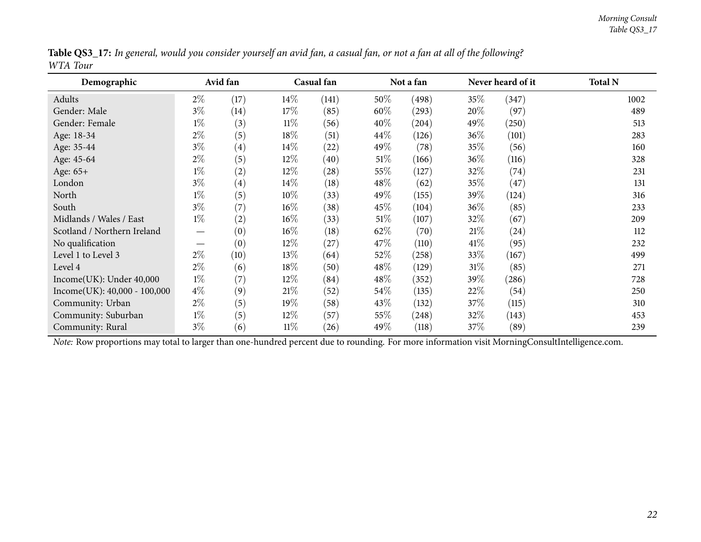<span id="page-21-0"></span>

| Demographic                    |       | Avid fan          |        | Casual fan         |         | Not a fan |        | Never heard of it | <b>Total N</b> |
|--------------------------------|-------|-------------------|--------|--------------------|---------|-----------|--------|-------------------|----------------|
| Adults                         | $2\%$ | (17)              | $14\%$ | (141)              | $50\%$  | (498)     | 35\%   | (347)             | 1002           |
| Gender: Male                   | $3\%$ | $\left(14\right)$ | 17\%   | (85)               | 60%     | (293)     | 20%    | (97)              | 489            |
| Gender: Female                 | $1\%$ | (3)               | $11\%$ | (56)               | 40%     | (204)     | 49\%   | (250)             | 513            |
| Age: 18-34                     | $2\%$ | (5)               | $18\%$ | (51)               | 44\%    | (126)     | 36\%   | (101)             | 283            |
| Age: 35-44                     | $3\%$ | (4)               | 14\%   | (22)               | 49\%    | (78)      | 35\%   | (56)              | 160            |
| Age: 45-64                     | $2\%$ | (5)               | 12%    | (40)               | 51\%    | (166)     | 36\%   | (116)             | 328            |
| Age: 65+                       | $1\%$ | (2)               | 12%    | $\left( 28\right)$ | 55\%    | (127)     | 32%    | (74)              | 231            |
| London                         | $3\%$ | (4)               | 14%    | (18)               | 48\%    | (62)      | 35%    | (47)              | 131            |
| North                          | $1\%$ | (5)               | $10\%$ | (33)               | 49\%    | (155)     | 39\%   | (124)             | 316            |
| South                          | $3\%$ | (7)               | $16\%$ | (38)               | 45\%    | (104)     | 36%    | (85)              | 233            |
| Midlands / Wales / East        | $1\%$ | (2)               | $16\%$ | (33)               | 51\%    | (107)     | 32%    | (67)              | 209            |
| Scotland / Northern Ireland    |       | (0)               | $16\%$ | (18)               | 62\%    | (70)      | 21%    | (24)              | 112            |
| No qualification               |       | (0)               | 12%    | (27)               | 47\%    | (110)     | 41%    | (95)              | 232            |
| Level 1 to Level 3             | $2\%$ | (10)              | 13\%   | (64)               | 52\%    | (258)     | 33\%   | (167)             | 499            |
| Level 4                        | $2\%$ | (6)               | 18%    | (50)               | 48\%    | (129)     | $31\%$ | (85)              | 271            |
| Income(UK): Under 40,000       | $1\%$ | (7)               | 12%    | (84)               | 48\%    | (352)     | 39\%   | (286)             | 728            |
| $Income(UK): 40,000 - 100,000$ | $4\%$ | (9)               | 21%    | (52)               | $54\%$  | (135)     | 22%    | (54)              | 250            |
| Community: Urban               | $2\%$ | (5)               | 19%    | (58)               | 43\%    | (132)     | 37\%   | (115)             | 310            |
| Community: Suburban            | $1\%$ | (5)               | 12%    | (57)               | 55\%    | (248)     | 32\%   | (143)             | 453            |
| Community: Rural               | $3\%$ | (6)               | $11\%$ | (26)               | 49 $\%$ | (118)     | 37%    | (89)              | 239            |

Table QS3\_17: In general, would you consider yourself an avid fan, a casual fan, or not a fan at all of the following? *WTA Tour*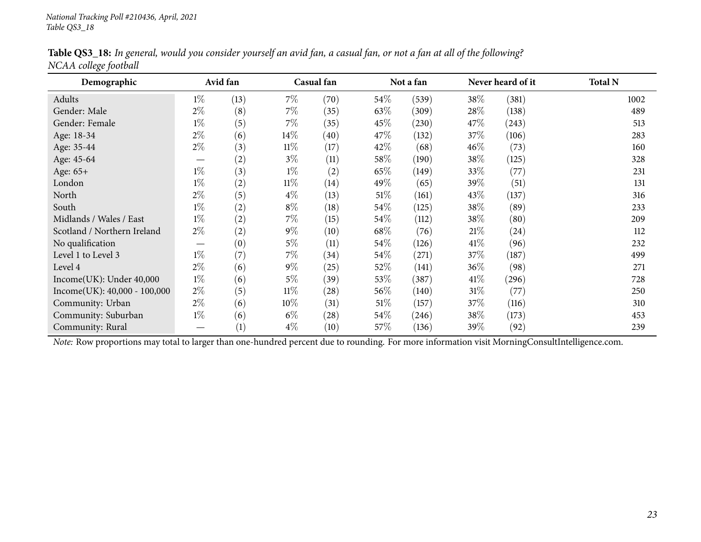|                       | Table QS3_18: In general, would you consider yourself an avid fan, a casual fan, or not a fan at all of the following? |  |  |
|-----------------------|------------------------------------------------------------------------------------------------------------------------|--|--|
| NCAA college football |                                                                                                                        |  |  |

<span id="page-22-0"></span>

| Demographic                                                                                                                                    |                               | Avid fan |        | Casual fan         |        | Not a fan |        | Never heard of it | <b>Total N</b> |
|------------------------------------------------------------------------------------------------------------------------------------------------|-------------------------------|----------|--------|--------------------|--------|-----------|--------|-------------------|----------------|
| Adults                                                                                                                                         | $1\%$                         | (13)     | $7\%$  | (70)               | $54\%$ | (539)     | 38\%   | (381)             | 1002           |
| Gender: Male                                                                                                                                   | $2\%$                         | (8)      | $7\%$  | (35)               | 63\%   | (309)     | 28\%   | (138)             | 489            |
| Gender: Female                                                                                                                                 | $1\%$                         | (5)      | 7\%    | (35)               | $45\%$ | (230)     | 47\%   | (243)             | 513            |
| Age: 18-34                                                                                                                                     | $2\%$                         | (6)      | $14\%$ | (40)               | 47\%   | (132)     | 37\%   | (106)             | 283            |
| Age: 35-44                                                                                                                                     | $2\%$                         | (3)      | $11\%$ | (17)               | $42\%$ | (68)      | $46\%$ | (73)              | 160            |
| Age: 45-64                                                                                                                                     |                               | (2)      | $3\%$  | (11)               | 58\%   | (190)     | 38\%   | (125)             | 328            |
| Age: 65+                                                                                                                                       | $1\%$                         | (3)      | $1\%$  | (2)                | $65\%$ | (149)     | $33\%$ | (77)              | 231            |
| London                                                                                                                                         | $1\%$                         | (2)      | $11\%$ | (14)               | 49\%   | (65)      | $39\%$ | (51)              | 131            |
| North                                                                                                                                          | $2\%$                         | (5)      | $4\%$  | (13)               | $51\%$ | (161)     | 43\%   | (137)             | 316            |
| South                                                                                                                                          | $1\%$                         | (2)      | $8\%$  | (18)               | $54\%$ | (125)     | 38\%   | (89)              | 233            |
| Midlands / Wales / East                                                                                                                        | $1\%$                         | (2)      | $7\%$  | (15)               | $54\%$ | (112)     | 38\%   | (80)              | 209            |
| Scotland / Northern Ireland                                                                                                                    | $2\%$                         | (2)      | $9\%$  | (10)               | 68\%   | (76)      | 21%    | (24)              | 112            |
| No qualification                                                                                                                               | $\overbrace{\phantom{13333}}$ | (0)      | $5\%$  | (11)               | $54\%$ | (126)     | $41\%$ | (96)              | 232            |
| Level 1 to Level 3                                                                                                                             | $1\%$                         | (7)      | $7\%$  | (34)               | 54\%   | (271)     | 37\%   | (187)             | 499            |
| Level 4                                                                                                                                        | $2\%$                         | (6)      | $9\%$  | (25)               | 52\%   | (141)     | $36\%$ | (98)              | 271            |
| Income(UK): Under 40,000                                                                                                                       | $1\%$                         | (6)      | $5\%$  | (39)               | 53\%   | (387)     | $41\%$ | (296)             | 728            |
| $Income(UK): 40,000 - 100,000$                                                                                                                 | $2\%$                         | (5)      | $11\%$ | $\left( 28\right)$ | $56\%$ | (140)     | $31\%$ | (77)              | 250            |
| Community: Urban                                                                                                                               | $2\%$                         | (6)      | $10\%$ | (31)               | $51\%$ | (157)     | $37\%$ | (116)             | 310            |
| Community: Suburban                                                                                                                            | $1\%$                         | (6)      | $6\%$  | $\left( 28\right)$ | $54\%$ | (246)     | 38\%   | (173)             | 453            |
| Community: Rural                                                                                                                               |                               | (1)      | $4\%$  | (10)               | 57\%   | (136)     | $39\%$ | (92)              | 239            |
| Note: Row proportions may total to larger than one-hundred percent due to rounding. For more information visit MorningConsultIntelligence.com. |                               |          |        |                    |        |           |        |                   |                |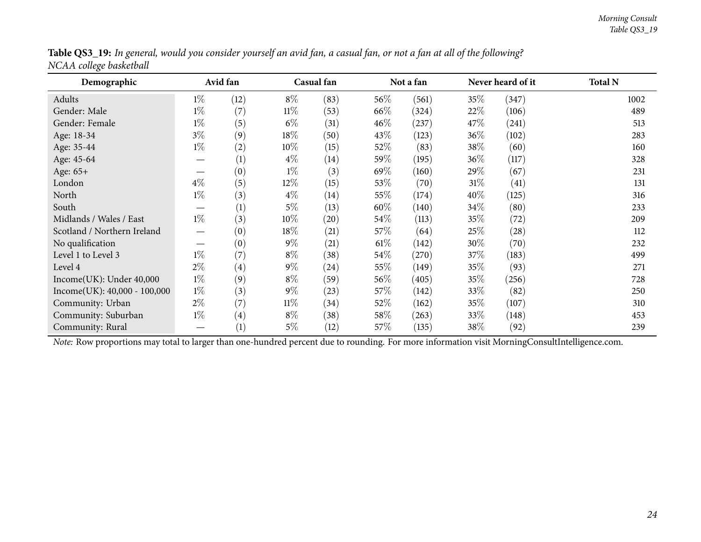<span id="page-23-0"></span>

| Demographic                                                                                                                                    |       | Avid fan          |        | Casual fan         |        | Not a fan |        | Never heard of it | <b>Total N</b> |
|------------------------------------------------------------------------------------------------------------------------------------------------|-------|-------------------|--------|--------------------|--------|-----------|--------|-------------------|----------------|
| Adults                                                                                                                                         | $1\%$ | (12)              | $8\%$  | (83)               | $56\%$ | (561)     | $35\%$ | (347)             | 1002           |
| Gender: Male                                                                                                                                   | $1\%$ | (7)               | $11\%$ | (53)               | 66\%   | (324)     | 22%    | (106)             | 489            |
| Gender: Female                                                                                                                                 | $1\%$ | (5)               | $6\%$  | (31)               | 46\%   | (237)     | 47\%   | (241)             | 513            |
| Age: 18-34                                                                                                                                     | $3\%$ | (9)               | $18\%$ | (50)               | 43\%   | (123)     | 36\%   | (102)             | 283            |
| Age: 35-44                                                                                                                                     | $1\%$ | (2)               | $10\%$ | (15)               | 52\%   | (83)      | 38\%   | (60)              | 160            |
| Age: 45-64                                                                                                                                     |       | (1)               | $4\%$  | (14)               | $59\%$ | (195)     | 36\%   | (117)             | 328            |
| Age: 65+                                                                                                                                       |       | (0)               | $1\%$  | (3)                | 69%    | (160)     | 29\%   | (67)              | 231            |
| London                                                                                                                                         | $4\%$ | (5)               | $12\%$ | (15)               | 53\%   | (70)      | $31\%$ | (41)              | 131            |
| North                                                                                                                                          | $1\%$ | (3)               | $4\%$  | (14)               | 55\%   | (174)     | 40%    | (125)             | 316            |
| South                                                                                                                                          |       | (1)               | $5\%$  | (13)               | 60\%   | (140)     | 34\%   | (80)              | 233            |
| Midlands / Wales / East                                                                                                                        | $1\%$ | (3)               | $10\%$ | $\left( 20\right)$ | 54\%   | (113)     | 35%    | (72)              | 209            |
| Scotland / Northern Ireland                                                                                                                    |       | (0)               | $18\%$ | (21)               | 57\%   | (64)      | 25\%   | (28)              | 112            |
| No qualification                                                                                                                               |       | (0)               | $9\%$  | (21)               | $61\%$ | (142)     | 30\%   | (70)              | 232            |
| Level 1 to Level 3                                                                                                                             | $1\%$ | (7)               | $8\%$  | (38)               | 54\%   | (270)     | 37\%   | (183)             | 499            |
| Level 4                                                                                                                                        | $2\%$ | (4)               | $9\%$  | (24)               | 55\%   | (149)     | 35\%   | (93)              | 271            |
| Income(UK): Under 40,000                                                                                                                       | $1\%$ | (9)               | $8\%$  | (59)               | $56\%$ | (405)     | 35\%   | (256)             | 728            |
| $Income(UK): 40,000 - 100,000$                                                                                                                 | $1\%$ | (3)               | $9\%$  | (23)               | 57\%   | (142)     | 33\%   | (82)              | 250            |
| Community: Urban                                                                                                                               | $2\%$ | (7)               | $11\%$ | (34)               | 52\%   | (162)     | 35%    | (107)             | 310            |
| Community: Suburban                                                                                                                            | $1\%$ | $\left( 4\right)$ | $8\%$  | (38)               | 58\%   | (263)     | 33\%   | (148)             | 453            |
| Community: Rural                                                                                                                               |       | (1)               | $5\%$  | (12)               | 57\%   | (135)     | 38\%   | (92)              | 239            |
| Note: Row proportions may total to larger than one-hundred percent due to rounding. For more information visit MorningConsultIntelligence.com. |       |                   |        |                    |        |           |        |                   |                |

Table QS3\_19: In general, would you consider yourself an avid fan, a casual fan, or not a fan at all of the following? *NCAA college basketball*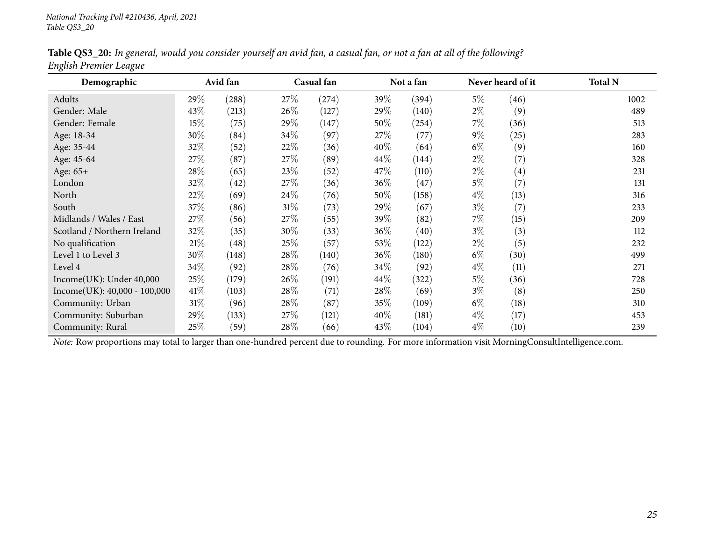|                        |  |  | Table QS3_20: In general, would you consider yourself an avid fan, a casual fan, or not a fan at all of the following? |
|------------------------|--|--|------------------------------------------------------------------------------------------------------------------------|
| English Premier League |  |  |                                                                                                                        |

<span id="page-24-0"></span>

| Demographic                    |        | Avid fan |        | Casual fan |        | Not a fan |       | Never heard of it | <b>Total N</b> |
|--------------------------------|--------|----------|--------|------------|--------|-----------|-------|-------------------|----------------|
| Adults                         | 29\%   | (288)    | 27\%   | (274)      | 39\%   | (394)     | $5\%$ | (46)              | 1002           |
| Gender: Male                   | 43\%   | (213)    | $26\%$ | (127)      | 29\%   | (140)     | $2\%$ | (9)               | 489            |
| Gender: Female                 | 15%    | (75)     | 29%    | (147)      | 50%    | (254)     | 7%    | (36)              | 513            |
| Age: 18-34                     | 30%    | (84)     | $34\%$ | (97)       | 27\%   | (77)      | $9\%$ | (25)              | 283            |
| Age: 35-44                     | 32%    | (52)     | 22\%   | (36)       | 40%    | (64)      | $6\%$ | (9)               | 160            |
| Age: 45-64                     | 27\%   | (87)     | 27\%   | (89)       | $44\%$ | (144)     | $2\%$ | (7)               | 328            |
| Age: 65+                       | 28\%   | (65)     | 23\%   | (52)       | 47\%   | (110)     | $2\%$ | $\left( 4\right)$ | 231            |
| London                         | 32%    | (42)     | 27\%   | (36)       | 36\%   | (47)      | $5\%$ | (7)               | 131            |
| North                          | 22%    | (69)     | 24\%   | (76)       | 50%    | (158)     | $4\%$ | (13)              | 316            |
| South                          | 37%    | (86)     | $31\%$ | (73)       | 29\%   | (67)      | $3\%$ | (7)               | 233            |
| Midlands / Wales / East        | 27%    | (56)     | 27\%   | (55)       | 39\%   | (82)      | $7\%$ | (15)              | 209            |
| Scotland / Northern Ireland    | 32%    | (35)     | 30\%   | (33)       | 36\%   | (40)      | $3\%$ | (3)               | 112            |
| No qualification               | 21%    | (48)     | 25\%   | (57)       | $53\%$ | (122)     | $2\%$ | (5)               | 232            |
| Level 1 to Level 3             | 30%    | (148)    | 28\%   | (140)      | 36\%   | (180)     | $6\%$ | (30)              | 499            |
| Level 4                        | 34\%   | (92)     | 28\%   | (76)       | 34\%   | (92)      | $4\%$ | (11)              | 271            |
| Income(UK): Under 40,000       | 25%    | (179)    | $26\%$ | (191)      | $44\%$ | (322)     | $5\%$ | (36)              | 728            |
| $Income(UK): 40,000 - 100,000$ | 41\%   | (103)    | 28\%   | (71)       | 28\%   | (69)      | $3\%$ | (8)               | 250            |
| Community: Urban               | $31\%$ | (96)     | 28\%   | (87)       | $35\%$ | (109)     | $6\%$ | (18)              | 310            |
| Community: Suburban            | 29%    | (133)    | 27\%   | (121)      | 40%    | (181)     | $4\%$ | (17)              | 453            |
| Community: Rural               | 25\%   | (59)     | 28\%   | (66)       | 43\%   | (104)     | $4\%$ | (10)              | 239            |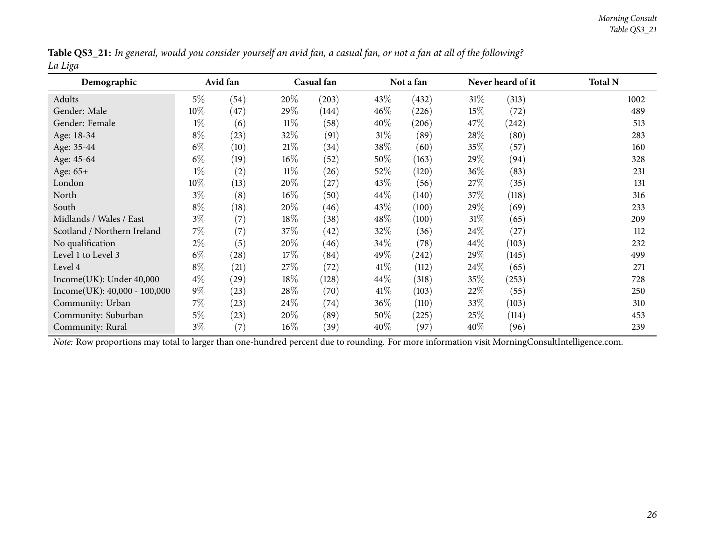|         | Table QS3_21: In general, would you consider yourself an avid fan, a casual fan, or not a fan at all of the following? |
|---------|------------------------------------------------------------------------------------------------------------------------|
| La Liga |                                                                                                                        |

<span id="page-25-0"></span>

| Demographic                                                                                                                                    |        | Avid fan |        | Casual fan |        | Not a fan |        | Never heard of it | <b>Total N</b> |
|------------------------------------------------------------------------------------------------------------------------------------------------|--------|----------|--------|------------|--------|-----------|--------|-------------------|----------------|
| Adults                                                                                                                                         | $5\%$  | (54)     | 20%    | (203)      | $43\%$ | (432)     | $31\%$ | (313)             | 1002           |
| Gender: Male                                                                                                                                   | $10\%$ | (47)     | 29\%   | (144)      | $46\%$ | (226)     | 15%    | (72)              | 489            |
| Gender: Female                                                                                                                                 | $1\%$  | (6)      | $11\%$ | (58)       | 40%    | (206)     | 47\%   | (242)             | 513            |
| Age: 18-34                                                                                                                                     | $8\%$  | (23)     | 32\%   | (91)       | $31\%$ | (89)      | 28%    | (80)              | 283            |
| Age: 35-44                                                                                                                                     | $6\%$  | (10)     | 21%    | (34)       | 38\%   | (60)      | 35\%   | (57)              | 160            |
| Age: 45-64                                                                                                                                     | $6\%$  | (19)     | $16\%$ | (52)       | 50%    | (163)     | 29\%   | (94)              | 328            |
| Age: 65+                                                                                                                                       | $1\%$  | (2)      | $11\%$ | (26)       | $52\%$ | (120)     | 36%    | (83)              | 231            |
| London                                                                                                                                         | 10%    | (13)     | $20\%$ | (27)       | 43\%   | (56)      | 27\%   | (35)              | 131            |
| North                                                                                                                                          | $3\%$  | (8)      | $16\%$ | (50)       | 44\%   | (140)     | 37\%   | (118)             | 316            |
| South                                                                                                                                          | $8\%$  | (18)     | 20%    | (46)       | 43\%   | (100)     | 29%    | (69)              | 233            |
| Midlands / Wales / East                                                                                                                        | $3\%$  | (7)      | 18%    | (38)       | 48\%   | (100)     | $31\%$ | (65)              | 209            |
| Scotland / Northern Ireland                                                                                                                    | $7\%$  | (7)      | 37\%   | (42)       | 32\%   | (36)      | 24\%   | (27)              | 112            |
| No qualification                                                                                                                               | $2\%$  | (5)      | 20%    | (46)       | $34\%$ | (78)      | 44\%   | (103)             | 232            |
| Level 1 to Level 3                                                                                                                             | $6\%$  | (28)     | 17%    | (84)       | 49\%   | (242)     | 29%    | (145)             | 499            |
| Level 4                                                                                                                                        | $8\%$  | (21)     | 27\%   | (72)       | $41\%$ | (112)     | 24\%   | (65)              | 271            |
| Income(UK): Under 40,000                                                                                                                       | $4\%$  | (29)     | $18\%$ | (128)      | 44\%   | (318)     | 35%    | (253)             | 728            |
| $Income(UK): 40,000 - 100,000$                                                                                                                 | $9\%$  | (23)     | 28\%   | (70)       | $41\%$ | (103)     | 22%    | (55)              | 250            |
| Community: Urban                                                                                                                               | $7\%$  | (23)     | 24\%   | (74)       | 36\%   | (110)     | 33%    | (103)             | 310            |
| Community: Suburban                                                                                                                            | $5\%$  | (23)     | 20\%   | (89)       | $50\%$ | (225)     | 25%    | (114)             | 453            |
| Community: Rural                                                                                                                               | $3\%$  | (7)      | $16\%$ | (39)       | $40\%$ | (97)      | $40\%$ | (96)              | 239            |
| Note: Row proportions may total to larger than one-hundred percent due to rounding. For more information visit MorningConsultIntelligence.com. |        |          |        |            |        |           |        |                   |                |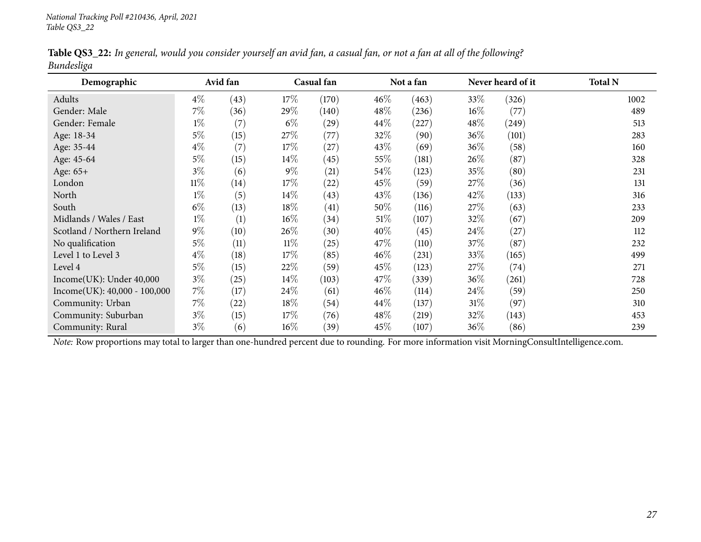|            |  |  |  | Table QS3_22: In general, would you consider yourself an avid fan, a casual fan, or not a fan at all of the following? |
|------------|--|--|--|------------------------------------------------------------------------------------------------------------------------|
| Bundesliga |  |  |  |                                                                                                                        |

<span id="page-26-0"></span>

| Demographic                    |        | Avid fan |        | Casual fan |        | Not a fan |        | Never heard of it | <b>Total N</b> |
|--------------------------------|--------|----------|--------|------------|--------|-----------|--------|-------------------|----------------|
| Adults                         | $4\%$  | (43)     | $17\%$ | (170)      | $46\%$ | (463)     | 33\%   | (326)             | 1002           |
| Gender: Male                   | $7\%$  | (36)     | 29\%   | (140)      | 48\%   | (236)     | $16\%$ | (77)              | 489            |
| Gender: Female                 | $1\%$  | (7)      | $6\%$  | (29)       | $44\%$ | (227)     | $48\%$ | (249)             | 513            |
| Age: 18-34                     | $5\%$  | (15)     | 27\%   | (77)       | 32%    | (90)      | $36\%$ | (101)             | 283            |
| Age: 35-44                     | $4\%$  | (7)      | 17%    | (27)       | 43%    | (69)      | $36\%$ | (58)              | 160            |
| Age: 45-64                     | $5\%$  | (15)     | $14\%$ | (45)       | $55\%$ | (181)     | $26\%$ | (87)              | 328            |
| Age: 65+                       | $3\%$  | (6)      | $9\%$  | (21)       | 54\%   | (123)     | 35%    | (80)              | 231            |
| London                         | $11\%$ | (14)     | $17\%$ | (22)       | 45\%   | (59)      | 27\%   | (36)              | 131            |
| North                          | $1\%$  | (5)      | $14\%$ | (43)       | 43\%   | (136)     | 42%    | (133)             | 316            |
| South                          | $6\%$  | (13)     | $18\%$ | (41)       | 50%    | (116)     | 27%    | (63)              | 233            |
| Midlands / Wales / East        | $1\%$  | (1)      | $16\%$ | (34)       | $51\%$ | (107)     | 32%    | (67)              | 209            |
| Scotland / Northern Ireland    | $9\%$  | (10)     | $26\%$ | (30)       | 40%    | (45)      | 24%    | (27)              | 112            |
| No qualification               | $5\%$  | (11)     | $11\%$ | (25)       | 47\%   | (110)     | 37\%   | (87)              | 232            |
| Level 1 to Level 3             | $4\%$  | (18)     | 17%    | (85)       | $46\%$ | (231)     | 33%    | (165)             | 499            |
| Level 4                        | $5\%$  | (15)     | 22\%   | (59)       | 45\%   | (123)     | 27\%   | (74)              | 271            |
| Income(UK): Under 40,000       | $3\%$  | (25)     | $14\%$ | (103)      | 47\%   | (339)     | $36\%$ | (261)             | 728            |
| $Income(UK): 40,000 - 100,000$ | $7\%$  | (17)     | 24\%   | (61)       | 46%    | (114)     | $24\%$ | (59)              | 250            |
| Community: Urban               | $7\%$  | (22)     | $18\%$ | (54)       | $44\%$ | (137)     | $31\%$ | (97)              | 310            |
| Community: Suburban            | $3\%$  | (15)     | 17%    | (76)       | 48\%   | (219)     | 32\%   | (143)             | 453            |
| Community: Rural               | $3\%$  | (6)      | $16\%$ | (39)       | 45\%   | (107)     | $36\%$ | (86)              | 239            |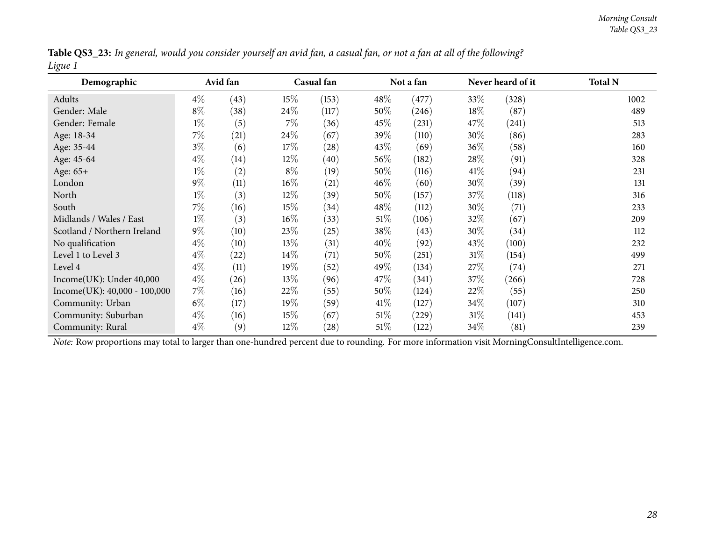|         | Table QS3_23: In general, would you consider yourself an avid fan, a casual fan, or not a fan at all of the following? |
|---------|------------------------------------------------------------------------------------------------------------------------|
| Ligue 1 |                                                                                                                        |

<span id="page-27-0"></span>

| Demographic                                                                                                                                    |       | Avid fan |        | Casual fan         |        | Not a fan |        | Never heard of it | <b>Total N</b> |
|------------------------------------------------------------------------------------------------------------------------------------------------|-------|----------|--------|--------------------|--------|-----------|--------|-------------------|----------------|
| Adults                                                                                                                                         | $4\%$ | (43)     | $15\%$ | (153)              | $48\%$ | (477)     | 33\%   | (328)             | 1002           |
| Gender: Male                                                                                                                                   | $8\%$ | (38)     | 24\%   | (117)              | $50\%$ | (246)     | 18\%   | (87)              | 489            |
| Gender: Female                                                                                                                                 | $1\%$ | (5)      | $7\%$  | (36)               | $45\%$ | (231)     | 47\%   | (241)             | 513            |
| Age: 18-34                                                                                                                                     | $7\%$ | (21)     | 24\%   | (67)               | 39\%   | (110)     | $30\%$ | (86)              | 283            |
| Age: 35-44                                                                                                                                     | $3\%$ | (6)      | 17%    | (28)               | 43\%   | (69)      | 36\%   | (58)              | 160            |
| Age: 45-64                                                                                                                                     | $4\%$ | (14)     | $12\%$ | (40)               | $56\%$ | (182)     | 28\%   | (91)              | 328            |
| Age: 65+                                                                                                                                       | $1\%$ | (2)      | $8\%$  | (19)               | $50\%$ | (116)     | 41\%   | (94)              | 231            |
| London                                                                                                                                         | $9\%$ | (11)     | $16\%$ | (21)               | $46\%$ | (60)      | 30%    | (39)              | 131            |
| North                                                                                                                                          | $1\%$ | (3)      | $12\%$ | (39)               | $50\%$ | (157)     | 37\%   | (118)             | 316            |
| South                                                                                                                                          | $7\%$ | (16)     | $15\%$ | (34)               | $48\%$ | (112)     | 30\%   | (71)              | 233            |
| Midlands / Wales / East                                                                                                                        | $1\%$ | (3)      | $16\%$ | (33)               | $51\%$ | (106)     | 32%    | (67)              | 209            |
| Scotland / Northern Ireland                                                                                                                    | $9\%$ | (10)     | 23\%   | (25)               | 38\%   | (43)      | 30%    | (34)              | 112            |
| No qualification                                                                                                                               | $4\%$ | (10)     | 13\%   | (31)               | 40\%   | (92)      | 43\%   | (100)             | 232            |
| Level 1 to Level 3                                                                                                                             | $4\%$ | (22)     | $14\%$ | (71)               | $50\%$ | (251)     | $31\%$ | (154)             | 499            |
| Level 4                                                                                                                                        | $4\%$ | (11)     | 19%    | (52)               | 49%    | (134)     | 27\%   | (74)              | 271            |
| Income(UK): Under 40,000                                                                                                                       | $4\%$ | (26)     | $13\%$ | (96)               | 47\%   | (341)     | 37%    | (266)             | 728            |
| $Income(UK): 40,000 - 100,000$                                                                                                                 | $7\%$ | (16)     | 22\%   | (55)               | $50\%$ | (124)     | 22%    | (55)              | 250            |
| Community: Urban                                                                                                                               | $6\%$ | (17)     | $19\%$ | (59)               | 41\%   | (127)     | $34\%$ | (107)             | 310            |
| Community: Suburban                                                                                                                            | $4\%$ | (16)     | $15\%$ | (67)               | 51%    | (229)     | 31%    | (141)             | 453            |
| Community: Rural                                                                                                                               | $4\%$ | (9)      | $12\%$ | $\left( 28\right)$ | $51\%$ | (122)     | 34\%   | (81)              | 239            |
| Note: Row proportions may total to larger than one-hundred percent due to rounding. For more information visit MorningConsultIntelligence.com. |       |          |        |                    |        |           |        |                   |                |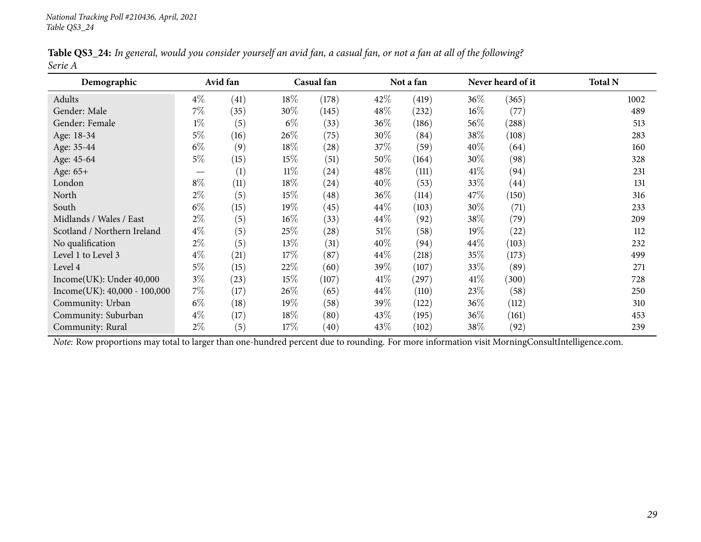|         |  |  | Table QS3_24: In general, would you consider yourself an avid fan, a casual fan, or not a fan at all of the following? |
|---------|--|--|------------------------------------------------------------------------------------------------------------------------|
| Serie A |  |  |                                                                                                                        |

<span id="page-28-0"></span>

| Demographic                                                                                                                                    |                               | Avid fan |        | Casual fan         |        | Not a fan |        | Never heard of it | <b>Total N</b> |
|------------------------------------------------------------------------------------------------------------------------------------------------|-------------------------------|----------|--------|--------------------|--------|-----------|--------|-------------------|----------------|
| Adults                                                                                                                                         | $4\%$                         | (41)     | 18%    | (178)              | 42%    | (419)     | 36%    | (365)             | 1002           |
| Gender: Male                                                                                                                                   | $7\%$                         | (35)     | 30%    | (145)              | 48\%   | (232)     | $16\%$ | (77)              | 489            |
| Gender: Female                                                                                                                                 | $1\%$                         | (5)      | $6\%$  | (33)               | 36%    | (186)     | 56%    | (288)             | 513            |
| Age: 18-34                                                                                                                                     | $5\%$                         | (16)     | $26\%$ | (75)               | 30%    | (84)      | 38%    | (108)             | 283            |
| Age: 35-44                                                                                                                                     | $6\%$                         | (9)      | $18\%$ | $\left( 28\right)$ | 37\%   | (59)      | $40\%$ | (64)              | 160            |
| Age: 45-64                                                                                                                                     | $5\%$                         | (15)     | 15%    | (51)               | 50%    | (164)     | 30%    | (98)              | 328            |
| Age: 65+                                                                                                                                       | $\overbrace{\phantom{aaaaa}}$ | (1)      | $11\%$ | (24)               | 48\%   | (111)     | $41\%$ | (94)              | 231            |
| London                                                                                                                                         | $8\%$                         | (11)     | 18%    | (24)               | 40%    | (53)      | 33%    | (44)              | 131            |
| North                                                                                                                                          | $2\%$                         | (5)      | 15%    | (48)               | 36\%   | (114)     | 47\%   | (150)             | 316            |
| South                                                                                                                                          | $6\%$                         | (15)     | 19%    | (45)               | 44\%   | (103)     | $30\%$ | (71)              | 233            |
| Midlands / Wales / East                                                                                                                        | $2\%$                         | (5)      | 16\%   | (33)               | 44\%   | (92)      | 38\%   | (79)              | 209            |
| Scotland / Northern Ireland                                                                                                                    | $4\%$                         | (5)      | 25\%   | $\left( 28\right)$ | $51\%$ | (58)      | 19%    | (22)              | 112            |
| No qualification                                                                                                                               | $2\%$                         | (5)      | 13%    | (31)               | 40%    | (94)      | 44\%   | (103)             | 232            |
| Level 1 to Level 3                                                                                                                             | $4\%$                         | (21)     | 17%    | (87)               | $44\%$ | (218)     | 35\%   | (173)             | 499            |
| Level 4                                                                                                                                        | $5\%$                         | (15)     | 22%    | (60)               | 39\%   | (107)     | 33\%   | (89)              | 271            |
| Income(UK): Under 40,000                                                                                                                       | $3\%$                         | (23)     | 15%    | (107)              | 41\%   | (297)     | 41\%   | (300)             | 728            |
| Income(UK): 40,000 - 100,000                                                                                                                   | $7\%$                         | (17)     | $26\%$ | (65)               | $44\%$ | (110)     | 23\%   | (58)              | 250            |
| Community: Urban                                                                                                                               | $6\%$                         | (18)     | $19\%$ | (58)               | 39%    | (122)     | $36\%$ | (112)             | 310            |
| Community: Suburban                                                                                                                            | $4\%$                         | (17)     | 18%    | (80)               | 43\%   | (195)     | 36%    | (161)             | 453            |
| Community: Rural                                                                                                                               | $2\%$                         | (5)      | $17\%$ | (40)               | 43\%   | (102)     | 38\%   | (92)              | 239            |
| Note: Row proportions may total to larger than one-hundred percent due to rounding. For more information visit MorningConsultIntelligence.com. |                               |          |        |                    |        |           |        |                   |                |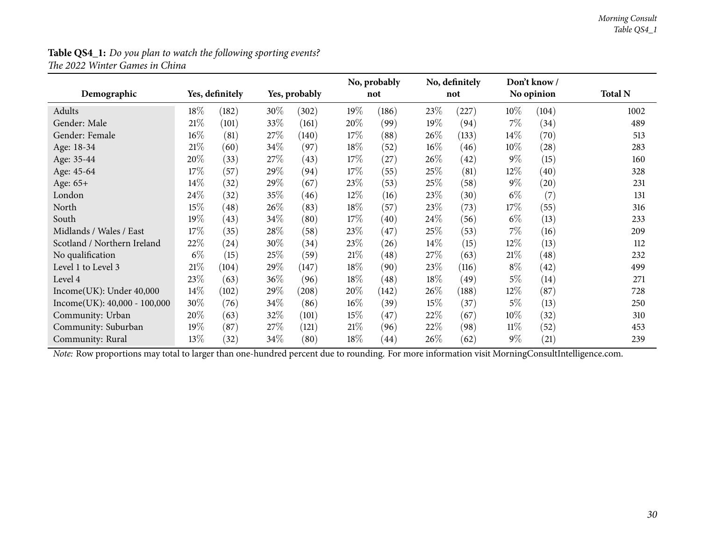#### **Table QS4\_1:** *Do you <sup>p</sup>lan to watch the following sporting events? The <sup>2022</sup> Winter Games in China*

<span id="page-29-0"></span>

|                                |        |                 |      |               |        | No, probably |        | No, definitely |        | Don't know / |                |
|--------------------------------|--------|-----------------|------|---------------|--------|--------------|--------|----------------|--------|--------------|----------------|
| Demographic                    |        | Yes, definitely |      | Yes, probably |        | not          |        | not            |        | No opinion   | <b>Total N</b> |
| Adults                         | $18\%$ | (182)           | 30\% | (302)         | $19\%$ | (186)        | 23\%   | (227)          | $10\%$ | (104)        | 1002           |
| Gender: Male                   | $21\%$ | (101)           | 33%  | (161)         | 20%    | (99)         | 19%    | (94)           | 7%     | (34)         | 489            |
| Gender: Female                 | 16%    | (81)            | 27\% | (140)         | 17%    | (88)         | $26\%$ | (133)          | $14\%$ | (70)         | 513            |
| Age: 18-34                     | $21\%$ | (60)            | 34\% | (97)          | 18\%   | (52)         | $16\%$ | (46)           | $10\%$ | (28)         | 283            |
| Age: 35-44                     | 20%    | (33)            | 27\% | (43)          | 17%    | (27)         | 26%    | (42)           | $9\%$  | (15)         | 160            |
| Age: 45-64                     | 17%    | (57)            | 29%  | (94)          | 17%    | (55)         | 25%    | (81)           | 12%    | (40)         | 328            |
| Age: 65+                       | 14%    | (32)            | 29%  | (67)          | 23\%   | (53)         | 25\%   | (58)           | $9\%$  | (20)         | 231            |
| London                         | 24\%   | (32)            | 35%  | (46)          | $12\%$ | (16)         | 23\%   | (30)           | $6\%$  | (7)          | 131            |
| North                          | 15%    | (48)            | 26%  | (83)          | 18\%   | (57)         | 23%    | (73)           | 17\%   | (55)         | 316            |
| South                          | 19%    | (43)            | 34\% | (80)          | 17%    | (40)         | 24\%   | (56)           | $6\%$  | (13)         | 233            |
| Midlands / Wales / East        | $17\%$ | (35)            | 28\% | (58)          | 23\%   | (47)         | 25\%   | (53)           | $7\%$  | (16)         | 209            |
| Scotland / Northern Ireland    | 22%    | (24)            | 30%  | (34)          | 23\%   | (26)         | $14\%$ | (15)           | $12\%$ | (13)         | 112            |
| No qualification               | $6\%$  | (15)            | 25\% | (59)          | 21%    | (48)         | 27\%   | (63)           | 21%    | (48)         | 232            |
| Level 1 to Level 3             | $21\%$ | (104)           | 29\% | (147)         | 18\%   | (90)         | 23\%   | (116)          | $8\%$  | (42)         | 499            |
| Level 4                        | 23%    | (63)            | 36\% | (96)          | 18\%   | (48)         | 18%    | (49)           | $5\%$  | (14)         | 271            |
| Income(UK): Under 40,000       | 14\%   | (102)           | 29%  | (208)         | 20%    | (142)        | 26\%   | (188)          | 12%    | (87)         | 728            |
| $Income(UK): 40,000 - 100,000$ | 30%    | (76)            | 34\% | (86)          | $16\%$ | (39)         | 15%    | (37)           | $5\%$  | (13)         | 250            |
| Community: Urban               | 20%    | (63)            | 32\% | (101)         | 15%    | (47)         | 22%    | (67)           | $10\%$ | (32)         | 310            |
| Community: Suburban            | 19%    | (87)            | 27\% | (121)         | $21\%$ | (96)         | 22%    | (98)           | $11\%$ | (52)         | 453            |
| Community: Rural               | 13%    | (32)            | 34\% | (80)          | 18\%   | (44)         | $26\%$ | (62)           | $9\%$  | (21)         | 239            |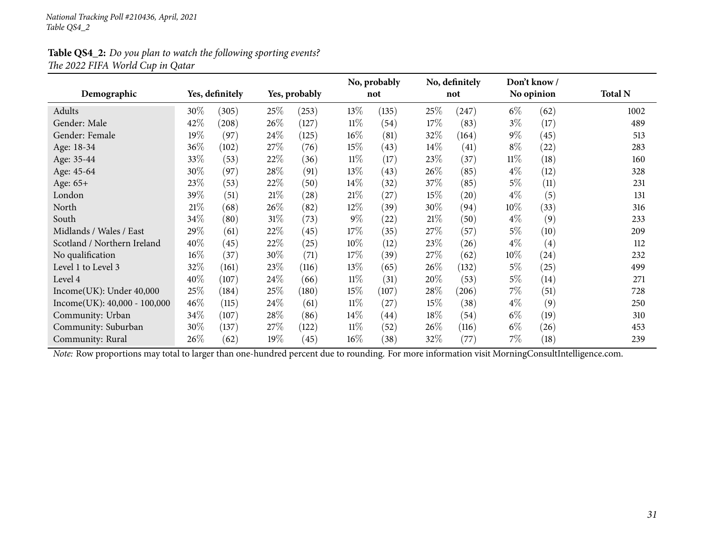#### **Table QS4\_2:** *Do you <sup>p</sup>lan to watch the following sporting events? The <sup>2022</sup> FIFA World Cup in Qatar*

<span id="page-30-0"></span>

|                                |        |                 |      |               |        | No, probably |        | No, definitely |        | Don't know / |                |
|--------------------------------|--------|-----------------|------|---------------|--------|--------------|--------|----------------|--------|--------------|----------------|
| Demographic                    |        | Yes, definitely |      | Yes, probably |        | not          |        | not            |        | No opinion   | <b>Total N</b> |
| Adults                         | 30%    | (305)           | 25\% | (253)         | $13\%$ | (135)        | 25\%   | (247)          | $6\%$  | (62)         | 1002           |
| Gender: Male                   | 42\%   | (208)           | 26\% | (127)         | $11\%$ | (54)         | 17\%   | (83)           | $3\%$  | (17)         | 489            |
| Gender: Female                 | 19%    | (97)            | 24\% | (125)         | $16\%$ | (81)         | 32%    | (164)          | $9\%$  | (45)         | 513            |
| Age: 18-34                     | 36%    | (102)           | 27%  | (76)          | $15\%$ | (43)         | $14\%$ | (41)           | $8\%$  | (22)         | 283            |
| Age: 35-44                     | 33%    | (53)            | 22%  | (36)          | $11\%$ | (17)         | 23\%   | (37)           | $11\%$ | (18)         | 160            |
| Age: 45-64                     | 30%    | (97)            | 28%  | (91)          | $13\%$ | (43)         | 26%    | (85)           | $4\%$  | (12)         | 328            |
| Age: 65+                       | 23\%   | (53)            | 22%  | (50)          | $14\%$ | (32)         | 37\%   | (85)           | $5\%$  | (11)         | 231            |
| London                         | 39%    | (51)            | 21\% | (28)          | 21%    | (27)         | 15%    | (20)           | $4\%$  | (5)          | 131            |
| North                          | 21%    | (68)            | 26\% | (82)          | $12\%$ | (39)         | 30%    | (94)           | $10\%$ | (33)         | 316            |
| South                          | 34\%   | (80)            | 31\% | (73)          | $9\%$  | (22)         | 21%    | (50)           | $4\%$  | (9)          | 233            |
| Midlands / Wales / East        | 29%    | (61)            | 22%  | (45)          | 17\%   | (35)         | 27\%   | (57)           | $5\%$  | (10)         | 209            |
| Scotland / Northern Ireland    | 40%    | (45)            | 22%  | (25)          | $10\%$ | (12)         | 23%    | (26)           | $4\%$  | (4)          | 112            |
| No qualification               | 16%    | (37)            | 30%  | (71)          | 17%    | (39)         | 27\%   | (62)           | $10\%$ | (24)         | 232            |
| Level 1 to Level 3             | 32%    | (161)           | 23\% | (116)         | $13\%$ | (65)         | 26\%   | (132)          | $5\%$  | (25)         | 499            |
| Level 4                        | 40%    | (107)           | 24\% | (66)          | $11\%$ | (31)         | 20%    | (53)           | $5\%$  | (14)         | 271            |
| Income(UK): Under 40,000       | 25%    | (184)           | 25%  | (180)         | $15\%$ | (107)        | 28\%   | (206)          | $7\%$  | (51)         | 728            |
| $Income(UK): 40,000 - 100,000$ | $46\%$ | (115)           | 24\% | (61)          | $11\%$ | (27)         | 15%    | (38)           | $4\%$  | (9)          | 250            |
| Community: Urban               | 34\%   | (107)           | 28\% | (86)          | $14\%$ | (44)         | 18%    | (54)           | $6\%$  | (19)         | 310            |
| Community: Suburban            | 30%    | (137)           | 27\% | (122)         | $11\%$ | (52)         | 26\%   | (116)          | $6\%$  | (26)         | 453            |
| Community: Rural               | 26\%   | (62)            | 19%  | (45)          | $16\%$ | (38)         | 32%    | (77)           | 7%     | (18)         | 239            |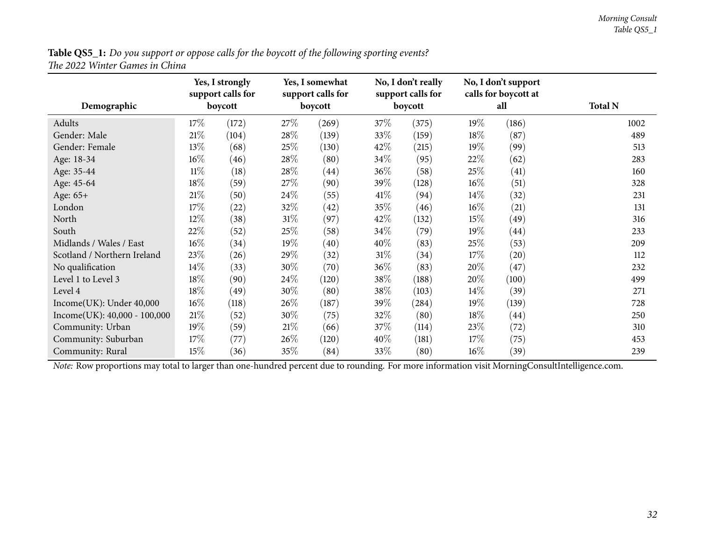Table QS5\_1: Do you support or oppose calls for the boycott of the following sporting events? *The <sup>2022</sup> Winter Games in China*

<span id="page-31-0"></span>

| Demographic                    |        | Yes, I strongly<br>support calls for<br>boycott |        | Yes, I somewhat<br>support calls for<br>boycott |        | No, I don't really<br>support calls for<br>boycott |        | No, I don't support<br>calls for boycott at<br>all | <b>Total N</b> |
|--------------------------------|--------|-------------------------------------------------|--------|-------------------------------------------------|--------|----------------------------------------------------|--------|----------------------------------------------------|----------------|
| Adults                         | $17\%$ | (172)                                           | 27\%   | (269)                                           | 37\%   | (375)                                              | 19%    | (186)                                              | 1002           |
| Gender: Male                   | 21%    | (104)                                           | 28\%   | (139)                                           | 33\%   | (159)                                              | 18\%   | (87)                                               | 489            |
| Gender: Female                 | 13%    | (68)                                            | 25%    | (130)                                           | 42\%   | (215)                                              | 19%    | (99)                                               | 513            |
| Age: 18-34                     | $16\%$ | (46)                                            | 28\%   | (80)                                            | 34\%   | (95)                                               | $22\%$ | (62)                                               | 283            |
| Age: 35-44                     | $11\%$ | (18)                                            | 28\%   | (44)                                            | 36\%   | (58)                                               | 25\%   | (41)                                               | 160            |
| Age: 45-64                     | 18%    | (59)                                            | 27\%   | (90)                                            | 39\%   | (128)                                              | $16\%$ | (51)                                               | 328            |
| Age: 65+                       | $21\%$ | (50)                                            | 24\%   | (55)                                            | 41\%   | (94)                                               | $14\%$ | (32)                                               | 231            |
| London                         | 17\%   | (22)                                            | 32%    | (42)                                            | 35\%   | (46)                                               | $16\%$ | (21)                                               | 131            |
| North                          | $12\%$ | (38)                                            | $31\%$ | (97)                                            | 42\%   | (132)                                              | 15\%   | (49)                                               | 316            |
| South                          | 22%    | (52)                                            | 25\%   | (58)                                            | 34\%   | (79)                                               | 19%    | (44)                                               | 233            |
| Midlands / Wales / East        | $16\%$ | (34)                                            | 19%    | (40)                                            | 40%    | (83)                                               | $25\%$ | (53)                                               | 209            |
| Scotland / Northern Ireland    | 23%    | (26)                                            | 29%    | (32)                                            | $31\%$ | (34)                                               | 17%    | (20)                                               | 112            |
| No qualification               | 14\%   | (33)                                            | $30\%$ | (70)                                            | $36\%$ | (83)                                               | 20%    | (47)                                               | 232            |
| Level 1 to Level 3             | 18%    | (90)                                            | 24\%   | (120)                                           | 38\%   | (188)                                              | 20%    | (100)                                              | 499            |
| Level 4                        | 18%    | (49)                                            | 30\%   | (80)                                            | 38\%   | (103)                                              | $14\%$ | (39)                                               | 271            |
| Income(UK): Under 40,000       | $16\%$ | (118)                                           | 26\%   | (187)                                           | 39%    | (284)                                              | $19\%$ | (139)                                              | 728            |
| $Income(UK): 40,000 - 100,000$ | $21\%$ | (52)                                            | 30\%   | (75)                                            | 32\%   | (80)                                               | 18%    | (44)                                               | 250            |
| Community: Urban               | 19%    | (59)                                            | 21%    | (66)                                            | 37\%   | (114)                                              | 23\%   | (72)                                               | 310            |
| Community: Suburban            | 17%    | (77)                                            | 26\%   | (120)                                           | 40%    | (181)                                              | 17%    | (75)                                               | 453            |
| Community: Rural               | 15%    | (36)                                            | $35\%$ | (84)                                            | 33\%   | (80)                                               | $16\%$ | (39)                                               | 239            |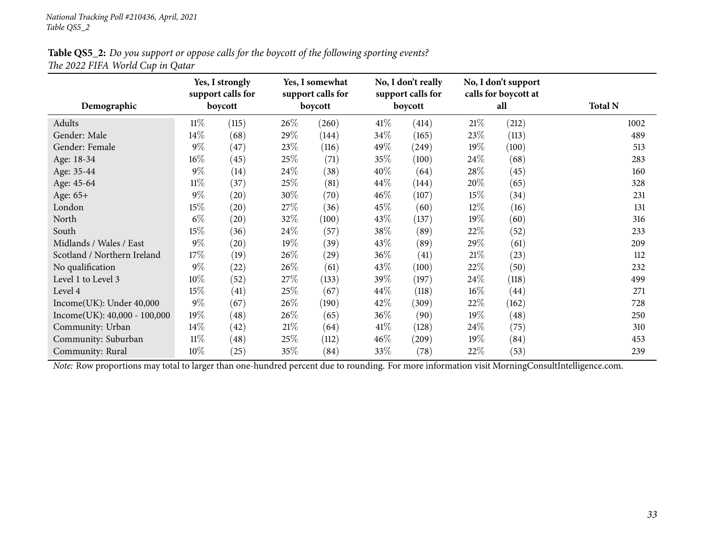#### Table QS5\_2: Do you support or oppose calls for the boycott of the following sporting events? *The <sup>2022</sup> FIFA World Cup in Qatar*

<span id="page-32-0"></span>

| Demographic                    |        | Yes, I strongly<br>support calls for<br>boycott |        | Yes, I somewhat<br>support calls for<br>boycott |        | No, I don't really<br>support calls for<br>boycott |        | No, I don't support<br>calls for boycott at<br>all | <b>Total N</b> |
|--------------------------------|--------|-------------------------------------------------|--------|-------------------------------------------------|--------|----------------------------------------------------|--------|----------------------------------------------------|----------------|
| Adults                         | $11\%$ | (115)                                           | 26\%   | (260)                                           | 41\%   | (414)                                              | 21\%   | (212)                                              | 1002           |
| Gender: Male                   | 14\%   | (68)                                            | 29\%   | (144)                                           | 34\%   | (165)                                              | 23\%   | (113)                                              | 489            |
| Gender: Female                 | $9\%$  | (47)                                            | 23\%   | (116)                                           | 49\%   | $\left( 249\right)$                                | 19%    | (100)                                              | 513            |
| Age: 18-34                     | 16%    | (45)                                            | 25%    | (71)                                            | 35%    | (100)                                              | $24\%$ | (68)                                               | 283            |
| Age: 35-44                     | $9\%$  | (14)                                            | 24\%   | (38)                                            | $40\%$ | (64)                                               | 28\%   | (45)                                               | 160            |
| Age: 45-64                     | $11\%$ | (37)                                            | 25\%   | (81)                                            | $44\%$ | (144)                                              | 20\%   | (65)                                               | 328            |
| Age: 65+                       | $9\%$  | (20)                                            | 30%    | (70)                                            | $46\%$ | (107)                                              | 15%    | (34)                                               | 231            |
| London                         | $15\%$ | (20)                                            | 27\%   | (36)                                            | $45\%$ | (60)                                               | $12\%$ | (16)                                               | 131            |
| North                          | $6\%$  | (20)                                            | 32%    | (100)                                           | 43\%   | (137)                                              | 19%    | (60)                                               | 316            |
| South                          | 15%    | (36)                                            | $24\%$ | (57)                                            | 38\%   | (89)                                               | 22%    | (52)                                               | 233            |
| Midlands / Wales / East        | $9\%$  | (20)                                            | $19\%$ | (39)                                            | 43\%   | (89)                                               | 29%    | (61)                                               | 209            |
| Scotland / Northern Ireland    | $17\%$ | (19)                                            | $26\%$ | (29)                                            | $36\%$ | (41)                                               | 21%    | (23)                                               | 112            |
| No qualification               | $9\%$  | (22)                                            | 26\%   | (61)                                            | 43\%   | (100)                                              | 22\%   | (50)                                               | 232            |
| Level 1 to Level 3             | 10%    | (52)                                            | 27\%   | (133)                                           | 39\%   | (197)                                              | 24\%   | (118)                                              | 499            |
| Level 4                        | 15%    | (41)                                            | 25\%   | (67)                                            | $44\%$ | (118)                                              | $16\%$ | (44)                                               | 271            |
| Income(UK): Under 40,000       | $9\%$  | (67)                                            | 26\%   | (190)                                           | $42\%$ | (309)                                              | 22\%   | (162)                                              | 728            |
| $Income(UK): 40,000 - 100,000$ | 19%    | (48)                                            | $26\%$ | (65)                                            | $36\%$ | (90)                                               | 19%    | (48)                                               | 250            |
| Community: Urban               | $14\%$ | (42)                                            | 21%    | (64)                                            | $41\%$ | (128)                                              | 24\%   | (75)                                               | 310            |
| Community: Suburban            | $11\%$ | $\left( 48\right)$                              | 25\%   | (112)                                           | $46\%$ | (209)                                              | 19%    | (84)                                               | 453            |
| Community: Rural               | 10\%   | (25)                                            | 35%    | (84)                                            | 33\%   | (78)                                               | 22\%   | (53)                                               | 239            |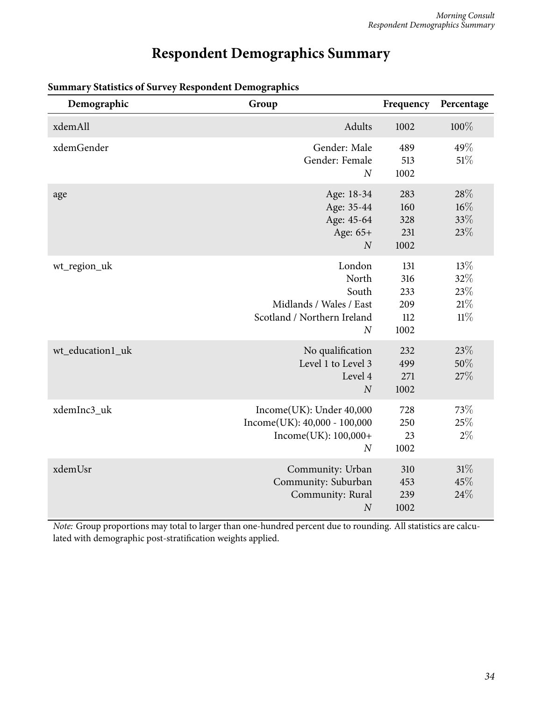## **Respondent Demographics Summary**

| Demographic      | Group                                                                                                  | Frequency                               | Percentage                         |
|------------------|--------------------------------------------------------------------------------------------------------|-----------------------------------------|------------------------------------|
| xdemAll          | Adults                                                                                                 | 1002                                    | 100%                               |
| xdemGender       | Gender: Male<br>Gender: Female<br>$\boldsymbol{N}$                                                     | 489<br>513<br>1002                      | 49%<br>51%                         |
| age              | Age: 18-34<br>Age: 35-44<br>Age: 45-64<br>Age: 65+<br>$\boldsymbol{N}$                                 | 283<br>160<br>328<br>231<br>1002        | 28%<br>$16\%$<br>33%<br>23%        |
| wt_region_uk     | London<br>North<br>South<br>Midlands / Wales / East<br>Scotland / Northern Ireland<br>$\boldsymbol{N}$ | 131<br>316<br>233<br>209<br>112<br>1002 | 13%<br>32%<br>23%<br>21%<br>$11\%$ |
| wt_education1_uk | No qualification<br>Level 1 to Level 3<br>Level 4<br>$\boldsymbol{N}$                                  | 232<br>499<br>271<br>1002               | 23%<br>50%<br>27%                  |
| xdemInc3_uk      | Income(UK): Under 40,000<br>$Income(UK): 40,000 - 100,000$<br>Income(UK): 100,000+<br>$\overline{N}$   | 728<br>250<br>23<br>1002                | 73%<br>25%<br>$2\%$                |
| xdemUsr          | Community: Urban<br>Community: Suburban<br>Community: Rural<br>$\boldsymbol{N}$                        | 310<br>453<br>239<br>1002               | 31%<br>45%<br>24%                  |

#### <span id="page-33-0"></span>**Summary Statistics of Survey Respondent Demographics**

*Note:* Group proportions may total to larger than one-hundred percent due to rounding. All statistics are calculated with demographic post-stratification weights applied.